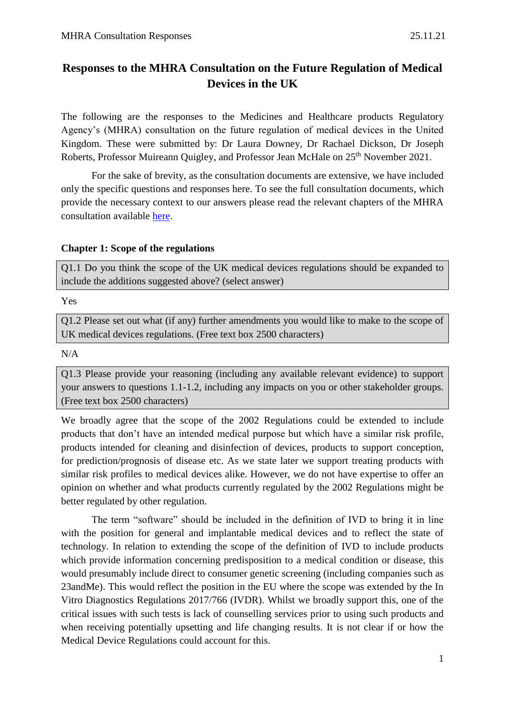# **Responses to the MHRA Consultation on the Future Regulation of Medical Devices in the UK**

The following are the responses to the Medicines and Healthcare products Regulatory Agency's (MHRA) consultation on the future regulation of medical devices in the United Kingdom. These were submitted by: Dr Laura Downey, Dr Rachael Dickson, Dr Joseph Roberts, Professor Muireann Quigley, and Professor Jean McHale on 25<sup>th</sup> November 2021.

For the sake of brevity, as the consultation documents are extensive, we have included only the specific questions and responses here. To see the full consultation documents, which provide the necessary context to our answers please read the relevant chapters of the MHRA consultation available [here.](https://www.gov.uk/government/consultations/consultation-on-the-future-regulation-of-medical-devices-in-the-united-kingdom)

#### **Chapter 1: Scope of the regulations**

Q1.1 Do you think the scope of the UK medical devices regulations should be expanded to include the additions suggested above? (select answer)

Yes

Q1.2 Please set out what (if any) further amendments you would like to make to the scope of UK medical devices regulations. (Free text box 2500 characters)

N/A

Q1.3 Please provide your reasoning (including any available relevant evidence) to support your answers to questions 1.1-1.2, including any impacts on you or other stakeholder groups. (Free text box 2500 characters)

We broadly agree that the scope of the 2002 Regulations could be extended to include products that don't have an intended medical purpose but which have a similar risk profile, products intended for cleaning and disinfection of devices, products to support conception, for prediction/prognosis of disease etc. As we state later we support treating products with similar risk profiles to medical devices alike. However, we do not have expertise to offer an opinion on whether and what products currently regulated by the 2002 Regulations might be better regulated by other regulation.

The term "software" should be included in the definition of IVD to bring it in line with the position for general and implantable medical devices and to reflect the state of technology. In relation to extending the scope of the definition of IVD to include products which provide information concerning predisposition to a medical condition or disease, this would presumably include direct to consumer genetic screening (including companies such as 23andMe). This would reflect the position in the EU where the scope was extended by the In Vitro Diagnostics Regulations 2017/766 (IVDR). Whilst we broadly support this, one of the critical issues with such tests is lack of counselling services prior to using such products and when receiving potentially upsetting and life changing results. It is not clear if or how the Medical Device Regulations could account for this.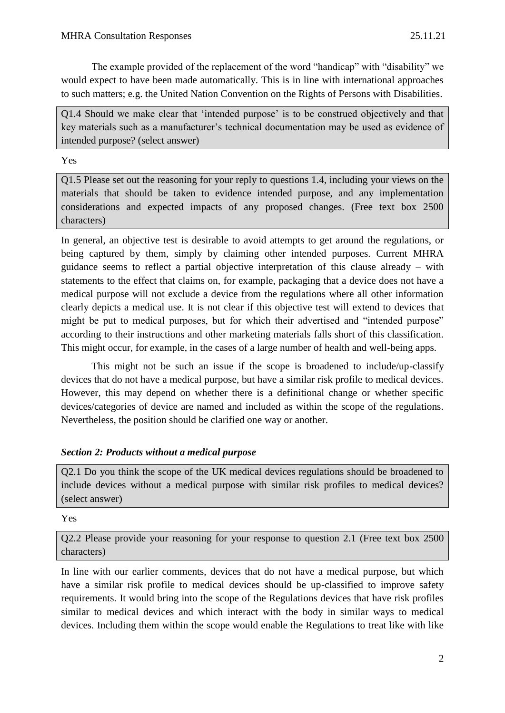The example provided of the replacement of the word "handicap" with "disability" we would expect to have been made automatically. This is in line with international approaches to such matters; e.g. the United Nation Convention on the Rights of Persons with Disabilities.

Q1.4 Should we make clear that 'intended purpose' is to be construed objectively and that key materials such as a manufacturer's technical documentation may be used as evidence of intended purpose? (select answer)

Yes

Q1.5 Please set out the reasoning for your reply to questions 1.4, including your views on the materials that should be taken to evidence intended purpose, and any implementation considerations and expected impacts of any proposed changes. (Free text box 2500 characters)

In general, an objective test is desirable to avoid attempts to get around the regulations, or being captured by them, simply by claiming other intended purposes. Current MHRA guidance seems to reflect a partial objective interpretation of this clause already – with statements to the effect that claims on, for example, packaging that a device does not have a medical purpose will not exclude a device from the regulations where all other information clearly depicts a medical use. It is not clear if this objective test will extend to devices that might be put to medical purposes, but for which their advertised and "intended purpose" according to their instructions and other marketing materials falls short of this classification. This might occur, for example, in the cases of a large number of health and well-being apps.

This might not be such an issue if the scope is broadened to include/up-classify devices that do not have a medical purpose, but have a similar risk profile to medical devices. However, this may depend on whether there is a definitional change or whether specific devices/categories of device are named and included as within the scope of the regulations. Nevertheless, the position should be clarified one way or another.

## *Section 2: Products without a medical purpose*

Q2.1 Do you think the scope of the UK medical devices regulations should be broadened to include devices without a medical purpose with similar risk profiles to medical devices? (select answer)

## Yes

Q2.2 Please provide your reasoning for your response to question 2.1 (Free text box 2500 characters)

In line with our earlier comments, devices that do not have a medical purpose, but which have a similar risk profile to medical devices should be up-classified to improve safety requirements. It would bring into the scope of the Regulations devices that have risk profiles similar to medical devices and which interact with the body in similar ways to medical devices. Including them within the scope would enable the Regulations to treat like with like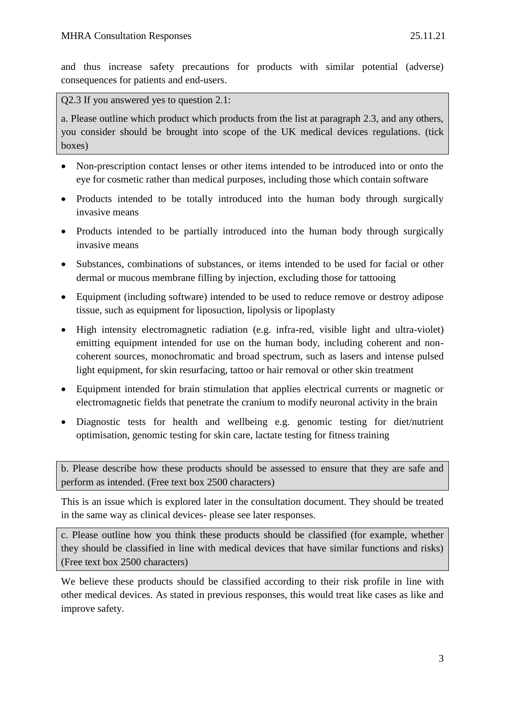and thus increase safety precautions for products with similar potential (adverse) consequences for patients and end-users.

Q2.3 If you answered yes to question 2.1:

a. Please outline which product which products from the list at paragraph 2.3, and any others, you consider should be brought into scope of the UK medical devices regulations. (tick boxes)

- Non-prescription contact lenses or other items intended to be introduced into or onto the eye for cosmetic rather than medical purposes, including those which contain software
- Products intended to be totally introduced into the human body through surgically invasive means
- Products intended to be partially introduced into the human body through surgically invasive means
- Substances, combinations of substances, or items intended to be used for facial or other dermal or mucous membrane filling by injection, excluding those for tattooing
- Equipment (including software) intended to be used to reduce remove or destroy adipose tissue, such as equipment for liposuction, lipolysis or lipoplasty
- High intensity electromagnetic radiation (e.g. infra-red, visible light and ultra-violet) emitting equipment intended for use on the human body, including coherent and noncoherent sources, monochromatic and broad spectrum, such as lasers and intense pulsed light equipment, for skin resurfacing, tattoo or hair removal or other skin treatment
- Equipment intended for brain stimulation that applies electrical currents or magnetic or electromagnetic fields that penetrate the cranium to modify neuronal activity in the brain
- Diagnostic tests for health and wellbeing e.g. genomic testing for diet/nutrient optimisation, genomic testing for skin care, lactate testing for fitness training

b. Please describe how these products should be assessed to ensure that they are safe and perform as intended. (Free text box 2500 characters)

This is an issue which is explored later in the consultation document. They should be treated in the same way as clinical devices- please see later responses.

c. Please outline how you think these products should be classified (for example, whether they should be classified in line with medical devices that have similar functions and risks) (Free text box 2500 characters)

We believe these products should be classified according to their risk profile in line with other medical devices. As stated in previous responses, this would treat like cases as like and improve safety.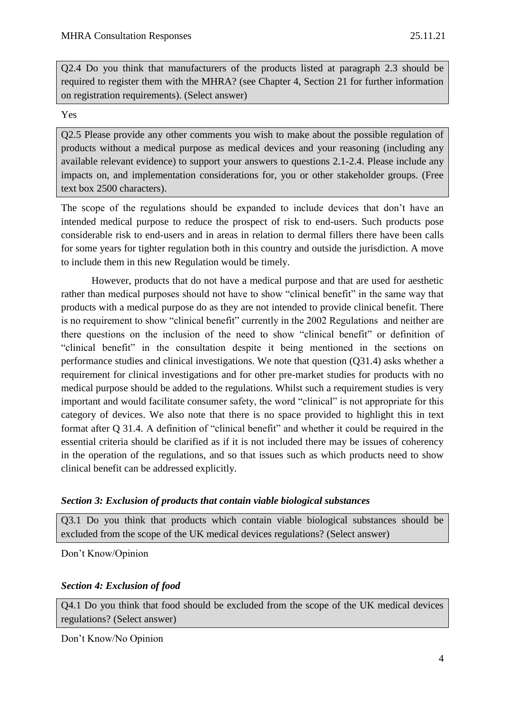Q2.4 Do you think that manufacturers of the products listed at paragraph 2.3 should be required to register them with the MHRA? (see Chapter 4, Section 21 for further information on registration requirements). (Select answer)

Yes

Q2.5 Please provide any other comments you wish to make about the possible regulation of products without a medical purpose as medical devices and your reasoning (including any available relevant evidence) to support your answers to questions 2.1-2.4. Please include any impacts on, and implementation considerations for, you or other stakeholder groups. (Free text box 2500 characters).

The scope of the regulations should be expanded to include devices that don't have an intended medical purpose to reduce the prospect of risk to end-users. Such products pose considerable risk to end-users and in areas in relation to dermal fillers there have been calls for some years for tighter regulation both in this country and outside the jurisdiction. A move to include them in this new Regulation would be timely.

However, products that do not have a medical purpose and that are used for aesthetic rather than medical purposes should not have to show "clinical benefit" in the same way that products with a medical purpose do as they are not intended to provide clinical benefit. There is no requirement to show "clinical benefit" currently in the 2002 Regulations and neither are there questions on the inclusion of the need to show "clinical benefit" or definition of "clinical benefit" in the consultation despite it being mentioned in the sections on performance studies and clinical investigations. We note that question (Q31.4) asks whether a requirement for clinical investigations and for other pre-market studies for products with no medical purpose should be added to the regulations. Whilst such a requirement studies is very important and would facilitate consumer safety, the word "clinical" is not appropriate for this category of devices. We also note that there is no space provided to highlight this in text format after Q 31.4. A definition of "clinical benefit" and whether it could be required in the essential criteria should be clarified as if it is not included there may be issues of coherency in the operation of the regulations, and so that issues such as which products need to show clinical benefit can be addressed explicitly.

#### *Section 3: Exclusion of products that contain viable biological substances*

Q3.1 Do you think that products which contain viable biological substances should be excluded from the scope of the UK medical devices regulations? (Select answer)

Don't Know/Opinion

#### *Section 4: Exclusion of food*

Q4.1 Do you think that food should be excluded from the scope of the UK medical devices regulations? (Select answer)

Don't Know/No Opinion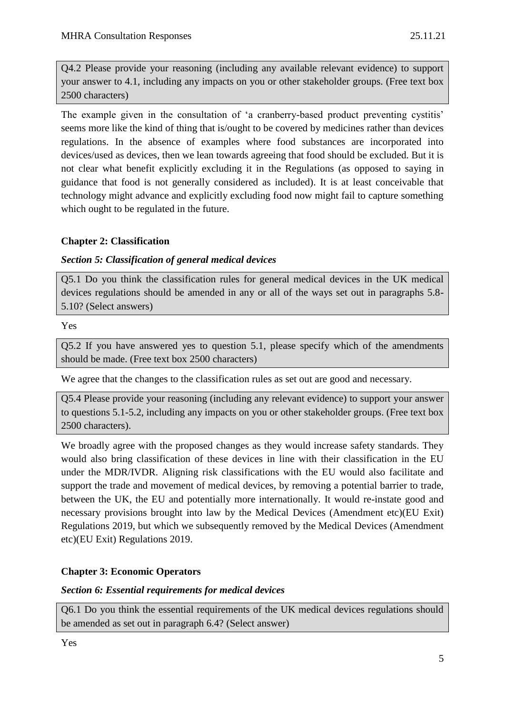Q4.2 Please provide your reasoning (including any available relevant evidence) to support your answer to 4.1, including any impacts on you or other stakeholder groups. (Free text box 2500 characters)

The example given in the consultation of 'a cranberry-based product preventing cystitis' seems more like the kind of thing that is/ought to be covered by medicines rather than devices regulations. In the absence of examples where food substances are incorporated into devices/used as devices, then we lean towards agreeing that food should be excluded. But it is not clear what benefit explicitly excluding it in the Regulations (as opposed to saying in guidance that food is not generally considered as included). It is at least conceivable that technology might advance and explicitly excluding food now might fail to capture something which ought to be regulated in the future.

## **Chapter 2: Classification**

## *Section 5: Classification of general medical devices*

Q5.1 Do you think the classification rules for general medical devices in the UK medical devices regulations should be amended in any or all of the ways set out in paragraphs 5.8- 5.10? (Select answers)

## Yes

Q5.2 If you have answered yes to question 5.1, please specify which of the amendments should be made. (Free text box 2500 characters)

We agree that the changes to the classification rules as set out are good and necessary.

Q5.4 Please provide your reasoning (including any relevant evidence) to support your answer to questions 5.1-5.2, including any impacts on you or other stakeholder groups. (Free text box 2500 characters).

We broadly agree with the proposed changes as they would increase safety standards. They would also bring classification of these devices in line with their classification in the EU under the MDR/IVDR. Aligning risk classifications with the EU would also facilitate and support the trade and movement of medical devices, by removing a potential barrier to trade, between the UK, the EU and potentially more internationally. It would re-instate good and necessary provisions brought into law by the Medical Devices (Amendment etc)(EU Exit) Regulations 2019, but which we subsequently removed by the Medical Devices (Amendment etc)(EU Exit) Regulations 2019.

## **Chapter 3: Economic Operators**

## *Section 6: Essential requirements for medical devices*

Q6.1 Do you think the essential requirements of the UK medical devices regulations should be amended as set out in paragraph 6.4? (Select answer)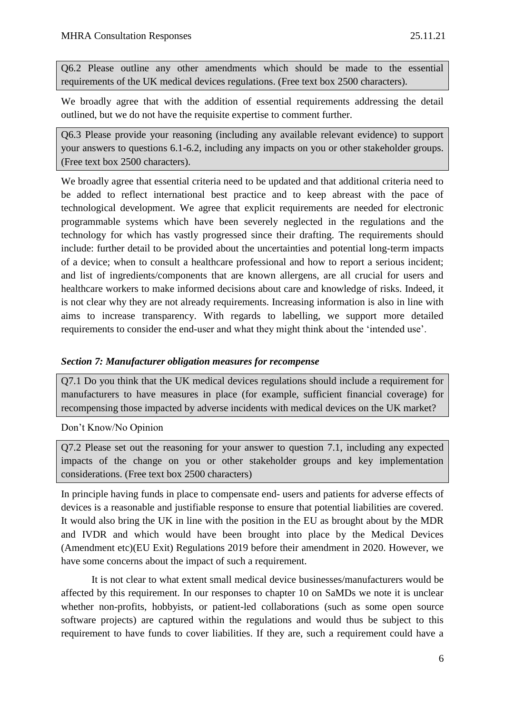Q6.2 Please outline any other amendments which should be made to the essential requirements of the UK medical devices regulations. (Free text box 2500 characters).

We broadly agree that with the addition of essential requirements addressing the detail outlined, but we do not have the requisite expertise to comment further.

Q6.3 Please provide your reasoning (including any available relevant evidence) to support your answers to questions 6.1-6.2, including any impacts on you or other stakeholder groups. (Free text box 2500 characters).

We broadly agree that essential criteria need to be updated and that additional criteria need to be added to reflect international best practice and to keep abreast with the pace of technological development. We agree that explicit requirements are needed for electronic programmable systems which have been severely neglected in the regulations and the technology for which has vastly progressed since their drafting. The requirements should include: further detail to be provided about the uncertainties and potential long-term impacts of a device; when to consult a healthcare professional and how to report a serious incident; and list of ingredients/components that are known allergens, are all crucial for users and healthcare workers to make informed decisions about care and knowledge of risks. Indeed, it is not clear why they are not already requirements. Increasing information is also in line with aims to increase transparency. With regards to labelling, we support more detailed requirements to consider the end-user and what they might think about the 'intended use'.

#### *Section 7: Manufacturer obligation measures for recompense*

Q7.1 Do you think that the UK medical devices regulations should include a requirement for manufacturers to have measures in place (for example, sufficient financial coverage) for recompensing those impacted by adverse incidents with medical devices on the UK market?

Don't Know/No Opinion

Q7.2 Please set out the reasoning for your answer to question 7.1, including any expected impacts of the change on you or other stakeholder groups and key implementation considerations. (Free text box 2500 characters)

In principle having funds in place to compensate end- users and patients for adverse effects of devices is a reasonable and justifiable response to ensure that potential liabilities are covered. It would also bring the UK in line with the position in the EU as brought about by the MDR and IVDR and which would have been brought into place by the Medical Devices (Amendment etc)(EU Exit) Regulations 2019 before their amendment in 2020. However, we have some concerns about the impact of such a requirement.

It is not clear to what extent small medical device businesses/manufacturers would be affected by this requirement. In our responses to chapter 10 on SaMDs we note it is unclear whether non-profits, hobbyists, or patient-led collaborations (such as some open source software projects) are captured within the regulations and would thus be subject to this requirement to have funds to cover liabilities. If they are, such a requirement could have a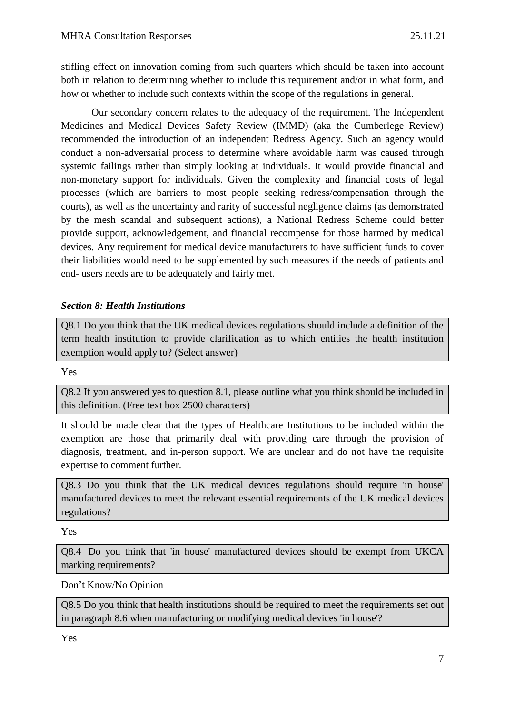stifling effect on innovation coming from such quarters which should be taken into account both in relation to determining whether to include this requirement and/or in what form, and how or whether to include such contexts within the scope of the regulations in general.

Our secondary concern relates to the adequacy of the requirement. The Independent Medicines and Medical Devices Safety Review (IMMD) (aka the Cumberlege Review) recommended the introduction of an independent Redress Agency. Such an agency would conduct a non-adversarial process to determine where avoidable harm was caused through systemic failings rather than simply looking at individuals. It would provide financial and non-monetary support for individuals. Given the complexity and financial costs of legal processes (which are barriers to most people seeking redress/compensation through the courts), as well as the uncertainty and rarity of successful negligence claims (as demonstrated by the mesh scandal and subsequent actions), a National Redress Scheme could better provide support, acknowledgement, and financial recompense for those harmed by medical devices. Any requirement for medical device manufacturers to have sufficient funds to cover their liabilities would need to be supplemented by such measures if the needs of patients and end- users needs are to be adequately and fairly met.

## *Section 8: Health Institutions*

Q8.1 Do you think that the UK medical devices regulations should include a definition of the term health institution to provide clarification as to which entities the health institution exemption would apply to? (Select answer)

#### Yes

Q8.2 If you answered yes to question 8.1, please outline what you think should be included in this definition. (Free text box 2500 characters)

It should be made clear that the types of Healthcare Institutions to be included within the exemption are those that primarily deal with providing care through the provision of diagnosis, treatment, and in-person support. We are unclear and do not have the requisite expertise to comment further.

Q8.3 Do you think that the UK medical devices regulations should require 'in house' manufactured devices to meet the relevant essential requirements of the UK medical devices regulations?

Yes

Q8.4 Do you think that 'in house' manufactured devices should be exempt from UKCA marking requirements?

Don't Know/No Opinion

Q8.5 Do you think that health institutions should be required to meet the requirements set out in paragraph 8.6 when manufacturing or modifying medical devices 'in house'?

Yes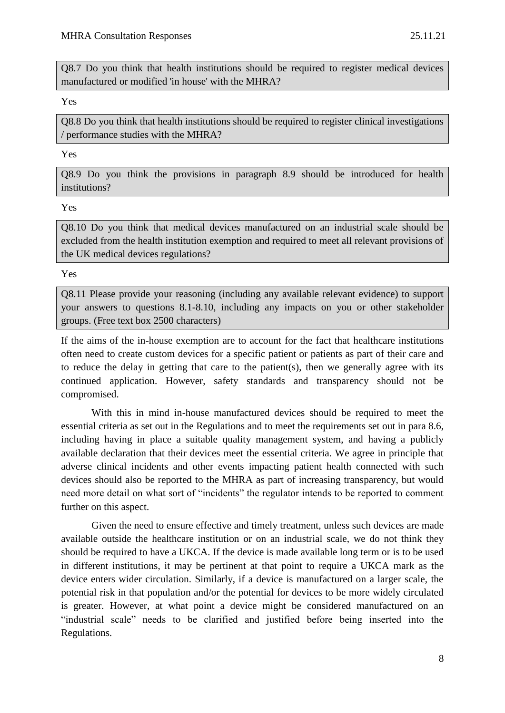Q8.7 Do you think that health institutions should be required to register medical devices manufactured or modified 'in house' with the MHRA?

#### Yes

Q8.8 Do you think that health institutions should be required to register clinical investigations / performance studies with the MHRA?

#### Yes

Q8.9 Do you think the provisions in paragraph 8.9 should be introduced for health institutions?

#### Yes

Q8.10 Do you think that medical devices manufactured on an industrial scale should be excluded from the health institution exemption and required to meet all relevant provisions of the UK medical devices regulations?

Yes

Q8.11 Please provide your reasoning (including any available relevant evidence) to support your answers to questions 8.1-8.10, including any impacts on you or other stakeholder groups. (Free text box 2500 characters)

If the aims of the in-house exemption are to account for the fact that healthcare institutions often need to create custom devices for a specific patient or patients as part of their care and to reduce the delay in getting that care to the patient(s), then we generally agree with its continued application. However, safety standards and transparency should not be compromised.

With this in mind in-house manufactured devices should be required to meet the essential criteria as set out in the Regulations and to meet the requirements set out in para 8.6, including having in place a suitable quality management system, and having a publicly available declaration that their devices meet the essential criteria. We agree in principle that adverse clinical incidents and other events impacting patient health connected with such devices should also be reported to the MHRA as part of increasing transparency, but would need more detail on what sort of "incidents" the regulator intends to be reported to comment further on this aspect.

Given the need to ensure effective and timely treatment, unless such devices are made available outside the healthcare institution or on an industrial scale, we do not think they should be required to have a UKCA. If the device is made available long term or is to be used in different institutions, it may be pertinent at that point to require a UKCA mark as the device enters wider circulation. Similarly, if a device is manufactured on a larger scale, the potential risk in that population and/or the potential for devices to be more widely circulated is greater. However, at what point a device might be considered manufactured on an "industrial scale" needs to be clarified and justified before being inserted into the Regulations.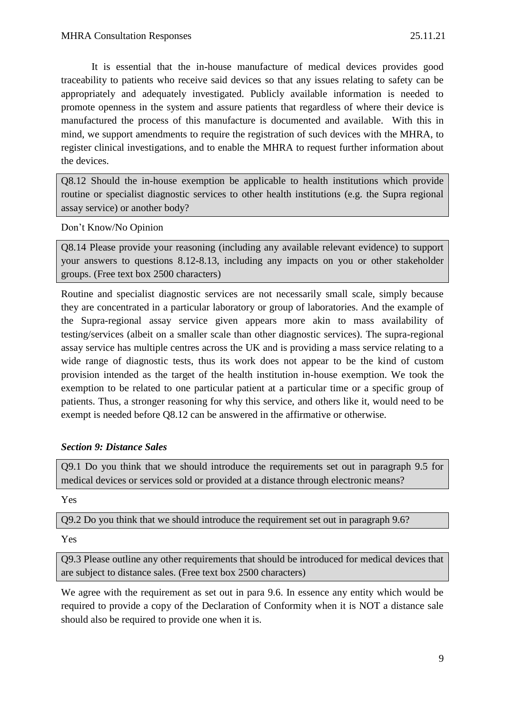It is essential that the in-house manufacture of medical devices provides good traceability to patients who receive said devices so that any issues relating to safety can be appropriately and adequately investigated. Publicly available information is needed to promote openness in the system and assure patients that regardless of where their device is manufactured the process of this manufacture is documented and available. With this in mind, we support amendments to require the registration of such devices with the MHRA, to register clinical investigations, and to enable the MHRA to request further information about the devices.

Q8.12 Should the in-house exemption be applicable to health institutions which provide routine or specialist diagnostic services to other health institutions (e.g. the Supra regional assay service) or another body?

Don't Know/No Opinion

Q8.14 Please provide your reasoning (including any available relevant evidence) to support your answers to questions 8.12-8.13, including any impacts on you or other stakeholder groups. (Free text box 2500 characters)

Routine and specialist diagnostic services are not necessarily small scale, simply because they are concentrated in a particular laboratory or group of laboratories. And the example of the Supra-regional assay service given appears more akin to mass availability of testing/services (albeit on a smaller scale than other diagnostic services). The supra-regional assay service has multiple centres across the UK and is providing a mass service relating to a wide range of diagnostic tests, thus its work does not appear to be the kind of custom provision intended as the target of the health institution in-house exemption. We took the exemption to be related to one particular patient at a particular time or a specific group of patients. Thus, a stronger reasoning for why this service, and others like it, would need to be exempt is needed before Q8.12 can be answered in the affirmative or otherwise.

## *Section 9: Distance Sales*

Q9.1 Do you think that we should introduce the requirements set out in paragraph 9.5 for medical devices or services sold or provided at a distance through electronic means?

Yes

Q9.2 Do you think that we should introduce the requirement set out in paragraph 9.6?

Yes

Q9.3 Please outline any other requirements that should be introduced for medical devices that are subject to distance sales. (Free text box 2500 characters)

We agree with the requirement as set out in para 9.6. In essence any entity which would be required to provide a copy of the Declaration of Conformity when it is NOT a distance sale should also be required to provide one when it is.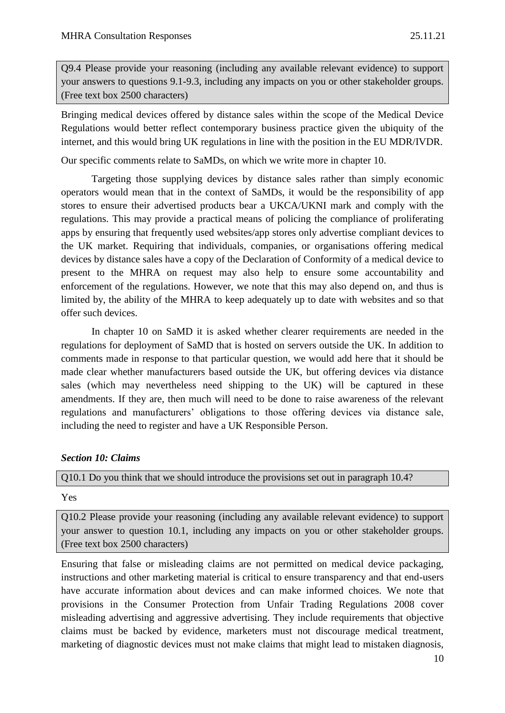Q9.4 Please provide your reasoning (including any available relevant evidence) to support your answers to questions 9.1-9.3, including any impacts on you or other stakeholder groups. (Free text box 2500 characters)

Bringing medical devices offered by distance sales within the scope of the Medical Device Regulations would better reflect contemporary business practice given the ubiquity of the internet, and this would bring UK regulations in line with the position in the EU MDR/IVDR.

Our specific comments relate to SaMDs, on which we write more in chapter 10.

Targeting those supplying devices by distance sales rather than simply economic operators would mean that in the context of SaMDs, it would be the responsibility of app stores to ensure their advertised products bear a UKCA/UKNI mark and comply with the regulations. This may provide a practical means of policing the compliance of proliferating apps by ensuring that frequently used websites/app stores only advertise compliant devices to the UK market. Requiring that individuals, companies, or organisations offering medical devices by distance sales have a copy of the Declaration of Conformity of a medical device to present to the MHRA on request may also help to ensure some accountability and enforcement of the regulations. However, we note that this may also depend on, and thus is limited by, the ability of the MHRA to keep adequately up to date with websites and so that offer such devices.

In chapter 10 on SaMD it is asked whether clearer requirements are needed in the regulations for deployment of SaMD that is hosted on servers outside the UK. In addition to comments made in response to that particular question, we would add here that it should be made clear whether manufacturers based outside the UK, but offering devices via distance sales (which may nevertheless need shipping to the UK) will be captured in these amendments. If they are, then much will need to be done to raise awareness of the relevant regulations and manufacturers' obligations to those offering devices via distance sale, including the need to register and have a UK Responsible Person.

## *Section 10: Claims*

#### Q10.1 Do you think that we should introduce the provisions set out in paragraph 10.4?

Yes

Q10.2 Please provide your reasoning (including any available relevant evidence) to support your answer to question 10.1, including any impacts on you or other stakeholder groups. (Free text box 2500 characters)

Ensuring that false or misleading claims are not permitted on medical device packaging, instructions and other marketing material is critical to ensure transparency and that end-users have accurate information about devices and can make informed choices. We note that provisions in the Consumer Protection from Unfair Trading Regulations 2008 cover misleading advertising and aggressive advertising. They include requirements that objective claims must be backed by evidence, marketers must not discourage medical treatment, marketing of diagnostic devices must not make claims that might lead to mistaken diagnosis,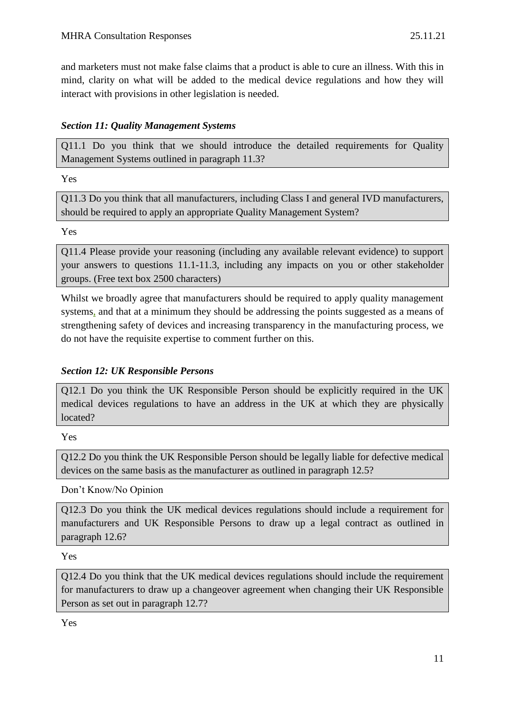and marketers must not make false claims that a product is able to cure an illness. With this in mind, clarity on what will be added to the medical device regulations and how they will interact with provisions in other legislation is needed.

# *Section 11: Quality Management Systems*

Q11.1 Do you think that we should introduce the detailed requirements for Quality Management Systems outlined in paragraph 11.3?

Yes

Q11.3 Do you think that all manufacturers, including Class I and general IVD manufacturers, should be required to apply an appropriate Quality Management System?

Yes

Q11.4 Please provide your reasoning (including any available relevant evidence) to support your answers to questions 11.1-11.3, including any impacts on you or other stakeholder groups. (Free text box 2500 characters)

Whilst we broadly agree that manufacturers should be required to apply quality management systems, and that at a minimum they should be addressing the points suggested as a means of strengthening safety of devices and increasing transparency in the manufacturing process, we do not have the requisite expertise to comment further on this.

# *Section 12: UK Responsible Persons*

Q12.1 Do you think the UK Responsible Person should be explicitly required in the UK medical devices regulations to have an address in the UK at which they are physically located?

Yes

Q12.2 Do you think the UK Responsible Person should be legally liable for defective medical devices on the same basis as the manufacturer as outlined in paragraph 12.5?

Don't Know/No Opinion

Q12.3 Do you think the UK medical devices regulations should include a requirement for manufacturers and UK Responsible Persons to draw up a legal contract as outlined in paragraph 12.6?

Yes

Q12.4 Do you think that the UK medical devices regulations should include the requirement for manufacturers to draw up a changeover agreement when changing their UK Responsible Person as set out in paragraph 12.7?

Yes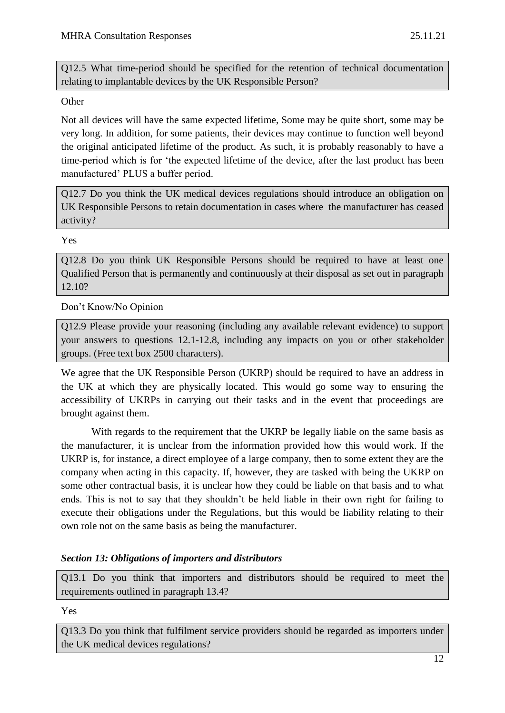Q12.5 What time-period should be specified for the retention of technical documentation relating to implantable devices by the UK Responsible Person?

## **Other**

Not all devices will have the same expected lifetime, Some may be quite short, some may be very long. In addition, for some patients, their devices may continue to function well beyond the original anticipated lifetime of the product. As such, it is probably reasonably to have a time-period which is for 'the expected lifetime of the device, after the last product has been manufactured' PLUS a buffer period.

Q12.7 Do you think the UK medical devices regulations should introduce an obligation on UK Responsible Persons to retain documentation in cases where the manufacturer has ceased activity?

Yes

Q12.8 Do you think UK Responsible Persons should be required to have at least one Qualified Person that is permanently and continuously at their disposal as set out in paragraph 12.10?

Don't Know/No Opinion

Q12.9 Please provide your reasoning (including any available relevant evidence) to support your answers to questions 12.1-12.8, including any impacts on you or other stakeholder groups. (Free text box 2500 characters).

We agree that the UK Responsible Person (UKRP) should be required to have an address in the UK at which they are physically located. This would go some way to ensuring the accessibility of UKRPs in carrying out their tasks and in the event that proceedings are brought against them.

With regards to the requirement that the UKRP be legally liable on the same basis as the manufacturer, it is unclear from the information provided how this would work. If the UKRP is, for instance, a direct employee of a large company, then to some extent they are the company when acting in this capacity. If, however, they are tasked with being the UKRP on some other contractual basis, it is unclear how they could be liable on that basis and to what ends. This is not to say that they shouldn't be held liable in their own right for failing to execute their obligations under the Regulations, but this would be liability relating to their own role not on the same basis as being the manufacturer.

## *Section 13: Obligations of importers and distributors*

Q13.1 Do you think that importers and distributors should be required to meet the requirements outlined in paragraph 13.4?

Yes

Q13.3 Do you think that fulfilment service providers should be regarded as importers under the UK medical devices regulations?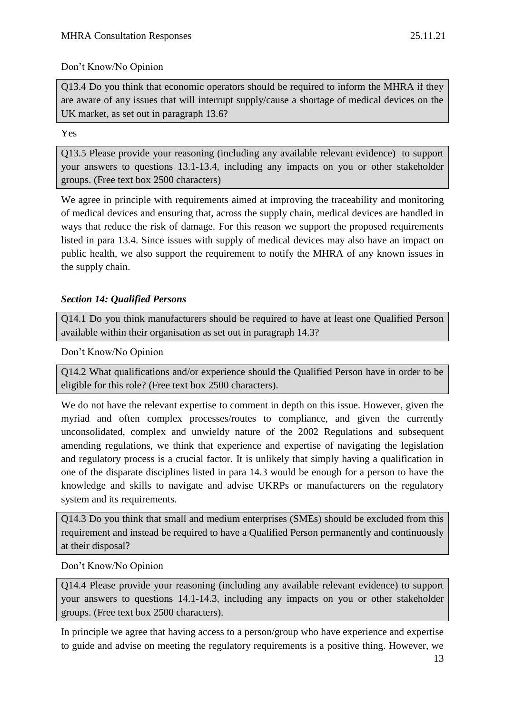## Don't Know/No Opinion

Q13.4 Do you think that economic operators should be required to inform the MHRA if they are aware of any issues that will interrupt supply/cause a shortage of medical devices on the UK market, as set out in paragraph 13.6?

## Yes

Q13.5 Please provide your reasoning (including any available relevant evidence) to support your answers to questions 13.1-13.4, including any impacts on you or other stakeholder groups. (Free text box 2500 characters)

We agree in principle with requirements aimed at improving the traceability and monitoring of medical devices and ensuring that, across the supply chain, medical devices are handled in ways that reduce the risk of damage. For this reason we support the proposed requirements listed in para 13.4. Since issues with supply of medical devices may also have an impact on public health, we also support the requirement to notify the MHRA of any known issues in the supply chain.

## *Section 14: Qualified Persons*

Q14.1 Do you think manufacturers should be required to have at least one Qualified Person available within their organisation as set out in paragraph 14.3?

Don't Know/No Opinion

Q14.2 What qualifications and/or experience should the Qualified Person have in order to be eligible for this role? (Free text box 2500 characters).

We do not have the relevant expertise to comment in depth on this issue. However, given the myriad and often complex processes/routes to compliance, and given the currently unconsolidated, complex and unwieldy nature of the 2002 Regulations and subsequent amending regulations, we think that experience and expertise of navigating the legislation and regulatory process is a crucial factor. It is unlikely that simply having a qualification in one of the disparate disciplines listed in para 14.3 would be enough for a person to have the knowledge and skills to navigate and advise UKRPs or manufacturers on the regulatory system and its requirements.

Q14.3 Do you think that small and medium enterprises (SMEs) should be excluded from this requirement and instead be required to have a Qualified Person permanently and continuously at their disposal?

Don't Know/No Opinion

Q14.4 Please provide your reasoning (including any available relevant evidence) to support your answers to questions 14.1-14.3, including any impacts on you or other stakeholder groups. (Free text box 2500 characters).

In principle we agree that having access to a person/group who have experience and expertise to guide and advise on meeting the regulatory requirements is a positive thing. However, we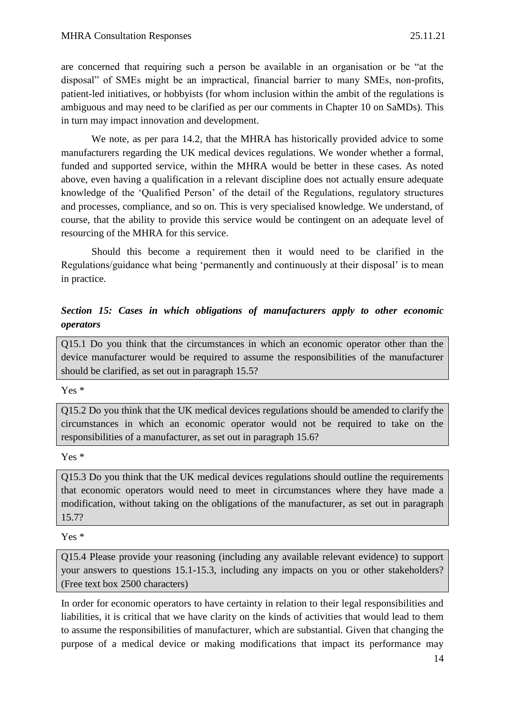are concerned that requiring such a person be available in an organisation or be "at the disposal" of SMEs might be an impractical, financial barrier to many SMEs, non-profits, patient-led initiatives, or hobbyists (for whom inclusion within the ambit of the regulations is ambiguous and may need to be clarified as per our comments in Chapter 10 on SaMDs). This in turn may impact innovation and development.

We note, as per para 14.2, that the MHRA has historically provided advice to some manufacturers regarding the UK medical devices regulations. We wonder whether a formal, funded and supported service, within the MHRA would be better in these cases. As noted above, even having a qualification in a relevant discipline does not actually ensure adequate knowledge of the 'Qualified Person' of the detail of the Regulations, regulatory structures and processes, compliance, and so on. This is very specialised knowledge. We understand, of course, that the ability to provide this service would be contingent on an adequate level of resourcing of the MHRA for this service.

Should this become a requirement then it would need to be clarified in the Regulations/guidance what being 'permanently and continuously at their disposal' is to mean in practice.

## *Section 15: Cases in which obligations of manufacturers apply to other economic operators*

Q15.1 Do you think that the circumstances in which an economic operator other than the device manufacturer would be required to assume the responsibilities of the manufacturer should be clarified, as set out in paragraph 15.5?

#### Yes \*

Q15.2 Do you think that the UK medical devices regulations should be amended to clarify the circumstances in which an economic operator would not be required to take on the responsibilities of a manufacturer, as set out in paragraph 15.6?

#### Yes \*

Q15.3 Do you think that the UK medical devices regulations should outline the requirements that economic operators would need to meet in circumstances where they have made a modification, without taking on the obligations of the manufacturer, as set out in paragraph 15.7?

Yes \*

Q15.4 Please provide your reasoning (including any available relevant evidence) to support your answers to questions 15.1-15.3, including any impacts on you or other stakeholders? (Free text box 2500 characters)

In order for economic operators to have certainty in relation to their legal responsibilities and liabilities, it is critical that we have clarity on the kinds of activities that would lead to them to assume the responsibilities of manufacturer, which are substantial. Given that changing the purpose of a medical device or making modifications that impact its performance may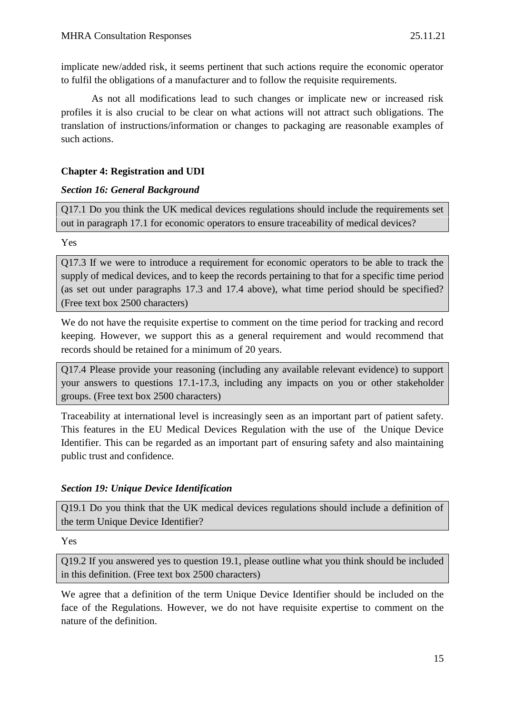implicate new/added risk, it seems pertinent that such actions require the economic operator to fulfil the obligations of a manufacturer and to follow the requisite requirements.

As not all modifications lead to such changes or implicate new or increased risk profiles it is also crucial to be clear on what actions will not attract such obligations. The translation of instructions/information or changes to packaging are reasonable examples of such actions.

#### **Chapter 4: Registration and UDI**

#### *Section 16: General Background*

Q17.1 Do you think the UK medical devices regulations should include the requirements set out in paragraph 17.1 for economic operators to ensure traceability of medical devices?

Yes

Q17.3 If we were to introduce a requirement for economic operators to be able to track the supply of medical devices, and to keep the records pertaining to that for a specific time period (as set out under paragraphs 17.3 and 17.4 above), what time period should be specified? (Free text box 2500 characters)

We do not have the requisite expertise to comment on the time period for tracking and record keeping. However, we support this as a general requirement and would recommend that records should be retained for a minimum of 20 years.

Q17.4 Please provide your reasoning (including any available relevant evidence) to support your answers to questions 17.1-17.3, including any impacts on you or other stakeholder groups. (Free text box 2500 characters)

Traceability at international level is increasingly seen as an important part of patient safety. This features in the EU Medical Devices Regulation with the use of the Unique Device Identifier. This can be regarded as an important part of ensuring safety and also maintaining public trust and confidence.

## *Section 19: Unique Device Identification*

Q19.1 Do you think that the UK medical devices regulations should include a definition of the term Unique Device Identifier?

Yes

Q19.2 If you answered yes to question 19.1, please outline what you think should be included in this definition. (Free text box 2500 characters)

We agree that a definition of the term Unique Device Identifier should be included on the face of the Regulations. However, we do not have requisite expertise to comment on the nature of the definition.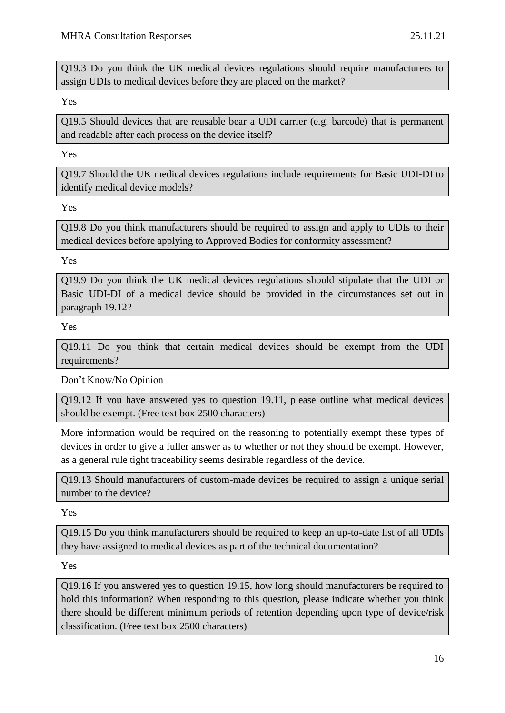Q19.3 Do you think the UK medical devices regulations should require manufacturers to assign UDIs to medical devices before they are placed on the market?

Yes

Q19.5 Should devices that are reusable bear a UDI carrier (e.g. barcode) that is permanent and readable after each process on the device itself?

Yes

Q19.7 Should the UK medical devices regulations include requirements for Basic UDI-DI to identify medical device models?

Yes

Q19.8 Do you think manufacturers should be required to assign and apply to UDIs to their medical devices before applying to Approved Bodies for conformity assessment?

Yes

Q19.9 Do you think the UK medical devices regulations should stipulate that the UDI or Basic UDI-DI of a medical device should be provided in the circumstances set out in paragraph 19.12?

Yes

Q19.11 Do you think that certain medical devices should be exempt from the UDI requirements?

Don't Know/No Opinion

Q19.12 If you have answered yes to question 19.11, please outline what medical devices should be exempt. (Free text box 2500 characters)

More information would be required on the reasoning to potentially exempt these types of devices in order to give a fuller answer as to whether or not they should be exempt. However, as a general rule tight traceability seems desirable regardless of the device.

Q19.13 Should manufacturers of custom-made devices be required to assign a unique serial number to the device?

Yes

Q19.15 Do you think manufacturers should be required to keep an up-to-date list of all UDIs they have assigned to medical devices as part of the technical documentation?

Yes

Q19.16 If you answered yes to question 19.15, how long should manufacturers be required to hold this information? When responding to this question, please indicate whether you think there should be different minimum periods of retention depending upon type of device/risk classification. (Free text box 2500 characters)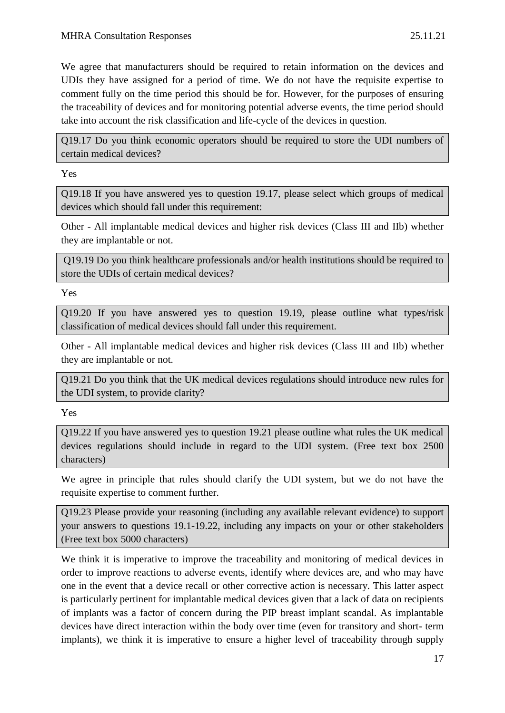We agree that manufacturers should be required to retain information on the devices and UDIs they have assigned for a period of time. We do not have the requisite expertise to comment fully on the time period this should be for. However, for the purposes of ensuring the traceability of devices and for monitoring potential adverse events, the time period should take into account the risk classification and life-cycle of the devices in question.

Q19.17 Do you think economic operators should be required to store the UDI numbers of certain medical devices?

Yes

Q19.18 If you have answered yes to question 19.17, please select which groups of medical devices which should fall under this requirement:

Other - All implantable medical devices and higher risk devices (Class III and IIb) whether they are implantable or not.

Q19.19 Do you think healthcare professionals and/or health institutions should be required to store the UDIs of certain medical devices?

Yes

Q19.20 If you have answered yes to question 19.19, please outline what types/risk classification of medical devices should fall under this requirement.

Other - All implantable medical devices and higher risk devices (Class III and IIb) whether they are implantable or not.

Q19.21 Do you think that the UK medical devices regulations should introduce new rules for the UDI system, to provide clarity?

Yes

Q19.22 If you have answered yes to question 19.21 please outline what rules the UK medical devices regulations should include in regard to the UDI system. (Free text box 2500 characters)

We agree in principle that rules should clarify the UDI system, but we do not have the requisite expertise to comment further.

Q19.23 Please provide your reasoning (including any available relevant evidence) to support your answers to questions 19.1-19.22, including any impacts on your or other stakeholders (Free text box 5000 characters)

We think it is imperative to improve the traceability and monitoring of medical devices in order to improve reactions to adverse events, identify where devices are, and who may have one in the event that a device recall or other corrective action is necessary. This latter aspect is particularly pertinent for implantable medical devices given that a lack of data on recipients of implants was a factor of concern during the PIP breast implant scandal. As implantable devices have direct interaction within the body over time (even for transitory and short- term implants), we think it is imperative to ensure a higher level of traceability through supply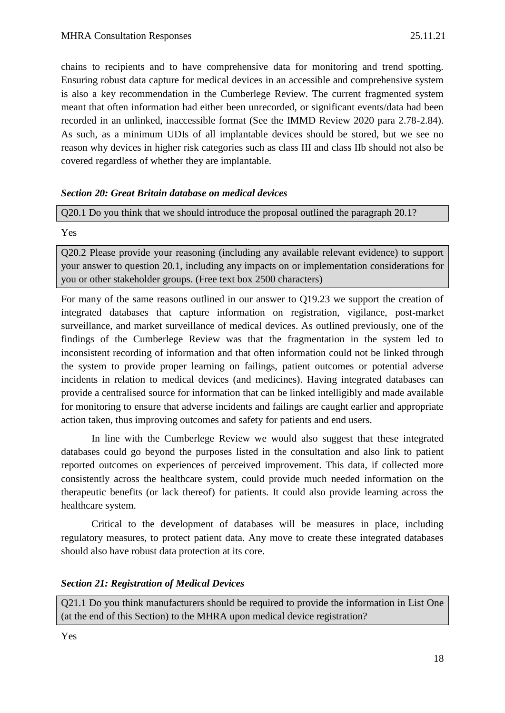chains to recipients and to have comprehensive data for monitoring and trend spotting. Ensuring robust data capture for medical devices in an accessible and comprehensive system is also a key recommendation in the Cumberlege Review. The current fragmented system meant that often information had either been unrecorded, or significant events/data had been recorded in an unlinked, inaccessible format (See the IMMD Review 2020 para 2.78-2.84). As such, as a minimum UDIs of all implantable devices should be stored, but we see no reason why devices in higher risk categories such as class III and class IIb should not also be covered regardless of whether they are implantable.

## *Section 20: Great Britain database on medical devices*

Q20.1 Do you think that we should introduce the proposal outlined the paragraph 20.1?

Yes

Q20.2 Please provide your reasoning (including any available relevant evidence) to support your answer to question 20.1, including any impacts on or implementation considerations for you or other stakeholder groups. (Free text box 2500 characters)

For many of the same reasons outlined in our answer to Q19.23 we support the creation of integrated databases that capture information on registration, vigilance, post-market surveillance, and market surveillance of medical devices. As outlined previously, one of the findings of the Cumberlege Review was that the fragmentation in the system led to inconsistent recording of information and that often information could not be linked through the system to provide proper learning on failings, patient outcomes or potential adverse incidents in relation to medical devices (and medicines). Having integrated databases can provide a centralised source for information that can be linked intelligibly and made available for monitoring to ensure that adverse incidents and failings are caught earlier and appropriate action taken, thus improving outcomes and safety for patients and end users.

In line with the Cumberlege Review we would also suggest that these integrated databases could go beyond the purposes listed in the consultation and also link to patient reported outcomes on experiences of perceived improvement. This data, if collected more consistently across the healthcare system, could provide much needed information on the therapeutic benefits (or lack thereof) for patients. It could also provide learning across the healthcare system.

Critical to the development of databases will be measures in place, including regulatory measures, to protect patient data. Any move to create these integrated databases should also have robust data protection at its core.

## *Section 21: Registration of Medical Devices*

Q21.1 Do you think manufacturers should be required to provide the information in List One (at the end of this Section) to the MHRA upon medical device registration?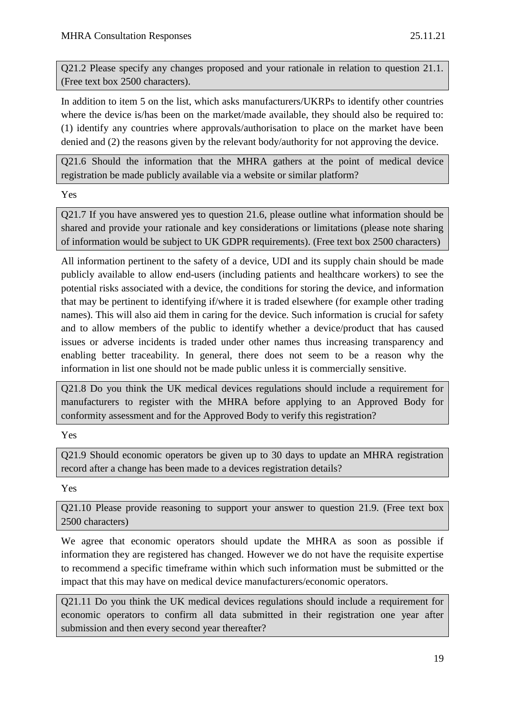Q21.2 Please specify any changes proposed and your rationale in relation to question 21.1. (Free text box 2500 characters).

In addition to item 5 on the list, which asks manufacturers/UKRPs to identify other countries where the device is/has been on the market/made available, they should also be required to: (1) identify any countries where approvals/authorisation to place on the market have been denied and (2) the reasons given by the relevant body/authority for not approving the device.

Q21.6 Should the information that the MHRA gathers at the point of medical device registration be made publicly available via a website or similar platform?

Yes

Q21.7 If you have answered yes to question 21.6, please outline what information should be shared and provide your rationale and key considerations or limitations (please note sharing of information would be subject to UK GDPR requirements). (Free text box 2500 characters)

All information pertinent to the safety of a device, UDI and its supply chain should be made publicly available to allow end-users (including patients and healthcare workers) to see the potential risks associated with a device, the conditions for storing the device, and information that may be pertinent to identifying if/where it is traded elsewhere (for example other trading names). This will also aid them in caring for the device. Such information is crucial for safety and to allow members of the public to identify whether a device/product that has caused issues or adverse incidents is traded under other names thus increasing transparency and enabling better traceability. In general, there does not seem to be a reason why the information in list one should not be made public unless it is commercially sensitive.

Q21.8 Do you think the UK medical devices regulations should include a requirement for manufacturers to register with the MHRA before applying to an Approved Body for conformity assessment and for the Approved Body to verify this registration?

Yes

Q21.9 Should economic operators be given up to 30 days to update an MHRA registration record after a change has been made to a devices registration details?

Yes

Q21.10 Please provide reasoning to support your answer to question 21.9. (Free text box 2500 characters)

We agree that economic operators should update the MHRA as soon as possible if information they are registered has changed. However we do not have the requisite expertise to recommend a specific timeframe within which such information must be submitted or the impact that this may have on medical device manufacturers/economic operators.

Q21.11 Do you think the UK medical devices regulations should include a requirement for economic operators to confirm all data submitted in their registration one year after submission and then every second year thereafter?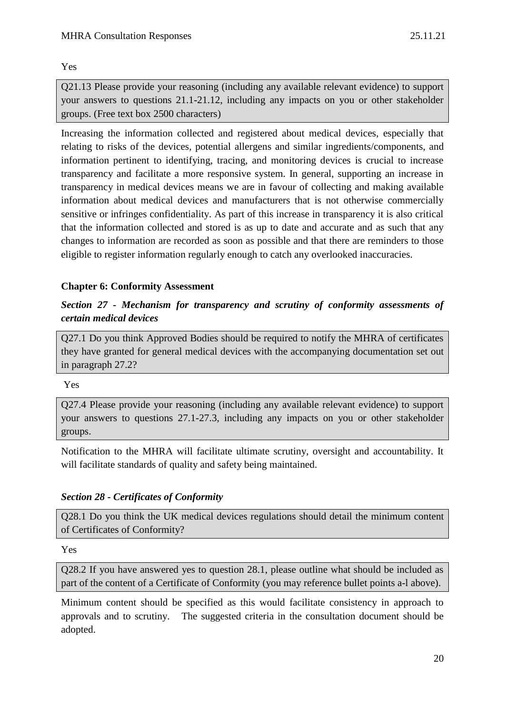Yes

Q21.13 Please provide your reasoning (including any available relevant evidence) to support your answers to questions 21.1-21.12, including any impacts on you or other stakeholder groups. (Free text box 2500 characters)

Increasing the information collected and registered about medical devices, especially that relating to risks of the devices, potential allergens and similar ingredients/components, and information pertinent to identifying, tracing, and monitoring devices is crucial to increase transparency and facilitate a more responsive system. In general, supporting an increase in transparency in medical devices means we are in favour of collecting and making available information about medical devices and manufacturers that is not otherwise commercially sensitive or infringes confidentiality. As part of this increase in transparency it is also critical that the information collected and stored is as up to date and accurate and as such that any changes to information are recorded as soon as possible and that there are reminders to those eligible to register information regularly enough to catch any overlooked inaccuracies.

## **Chapter 6: Conformity Assessment**

## *Section 27 - Mechanism for transparency and scrutiny of conformity assessments of certain medical devices*

Q27.1 Do you think Approved Bodies should be required to notify the MHRA of certificates they have granted for general medical devices with the accompanying documentation set out in paragraph 27.2?

Yes

Q27.4 Please provide your reasoning (including any available relevant evidence) to support your answers to questions 27.1-27.3, including any impacts on you or other stakeholder groups.

Notification to the MHRA will facilitate ultimate scrutiny, oversight and accountability. It will facilitate standards of quality and safety being maintained.

## *Section 28 - Certificates of Conformity*

Q28.1 Do you think the UK medical devices regulations should detail the minimum content of Certificates of Conformity?

Yes

Q28.2 If you have answered yes to question 28.1, please outline what should be included as part of the content of a Certificate of Conformity (you may reference bullet points a-l above).

Minimum content should be specified as this would facilitate consistency in approach to approvals and to scrutiny. The suggested criteria in the consultation document should be adopted.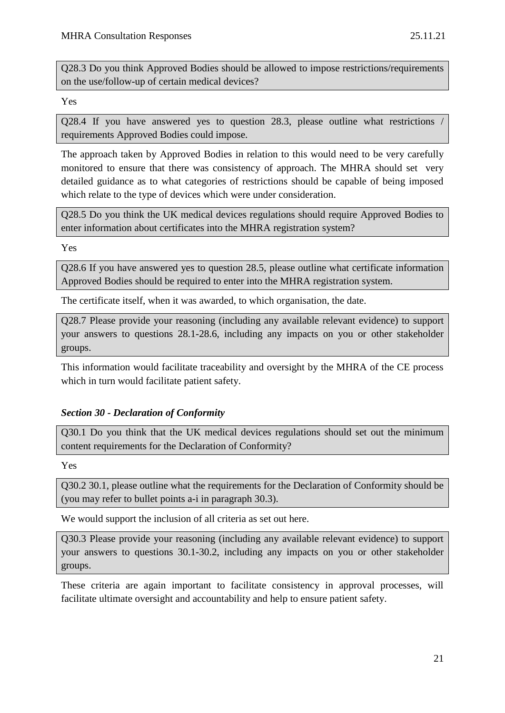Q28.3 Do you think Approved Bodies should be allowed to impose restrictions/requirements on the use/follow-up of certain medical devices?

Yes

Q28.4 If you have answered yes to question 28.3, please outline what restrictions / requirements Approved Bodies could impose.

The approach taken by Approved Bodies in relation to this would need to be very carefully monitored to ensure that there was consistency of approach. The MHRA should set very detailed guidance as to what categories of restrictions should be capable of being imposed which relate to the type of devices which were under consideration.

Q28.5 Do you think the UK medical devices regulations should require Approved Bodies to enter information about certificates into the MHRA registration system?

Yes

Q28.6 If you have answered yes to question 28.5, please outline what certificate information Approved Bodies should be required to enter into the MHRA registration system.

The certificate itself, when it was awarded, to which organisation, the date.

Q28.7 Please provide your reasoning (including any available relevant evidence) to support your answers to questions 28.1-28.6, including any impacts on you or other stakeholder groups.

This information would facilitate traceability and oversight by the MHRA of the CE process which in turn would facilitate patient safety.

## *Section 30 - Declaration of Conformity*

Q30.1 Do you think that the UK medical devices regulations should set out the minimum content requirements for the Declaration of Conformity?

Yes

Q30.2 30.1, please outline what the requirements for the Declaration of Conformity should be (you may refer to bullet points a-i in paragraph 30.3).

We would support the inclusion of all criteria as set out here.

Q30.3 Please provide your reasoning (including any available relevant evidence) to support your answers to questions 30.1-30.2, including any impacts on you or other stakeholder groups.

These criteria are again important to facilitate consistency in approval processes, will facilitate ultimate oversight and accountability and help to ensure patient safety.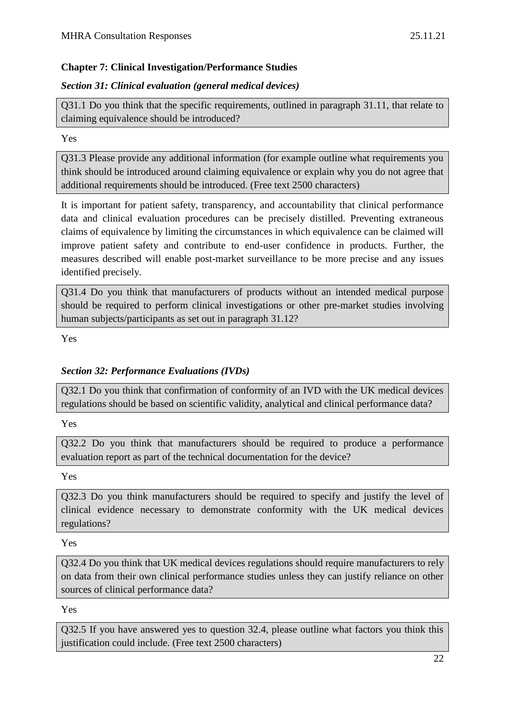# **Chapter 7: Clinical Investigation/Performance Studies**

## *Section 31: Clinical evaluation (general medical devices)*

Q31.1 Do you think that the specific requirements, outlined in paragraph 31.11, that relate to claiming equivalence should be introduced?

Yes

Q31.3 Please provide any additional information (for example outline what requirements you think should be introduced around claiming equivalence or explain why you do not agree that additional requirements should be introduced. (Free text 2500 characters)

It is important for patient safety, transparency, and accountability that clinical performance data and clinical evaluation procedures can be precisely distilled. Preventing extraneous claims of equivalence by limiting the circumstances in which equivalence can be claimed will improve patient safety and contribute to end-user confidence in products. Further, the measures described will enable post-market surveillance to be more precise and any issues identified precisely.

Q31.4 Do you think that manufacturers of products without an intended medical purpose should be required to perform clinical investigations or other pre-market studies involving human subjects/participants as set out in paragraph 31.12?

Yes

# *Section 32: Performance Evaluations (IVDs)*

Q32.1 Do you think that confirmation of conformity of an IVD with the UK medical devices regulations should be based on scientific validity, analytical and clinical performance data?

Yes

Q32.2 Do you think that manufacturers should be required to produce a performance evaluation report as part of the technical documentation for the device?

Yes

Q32.3 Do you think manufacturers should be required to specify and justify the level of clinical evidence necessary to demonstrate conformity with the UK medical devices regulations?

Yes

Q32.4 Do you think that UK medical devices regulations should require manufacturers to rely on data from their own clinical performance studies unless they can justify reliance on other sources of clinical performance data?

Yes

Q32.5 If you have answered yes to question 32.4, please outline what factors you think this justification could include. (Free text 2500 characters)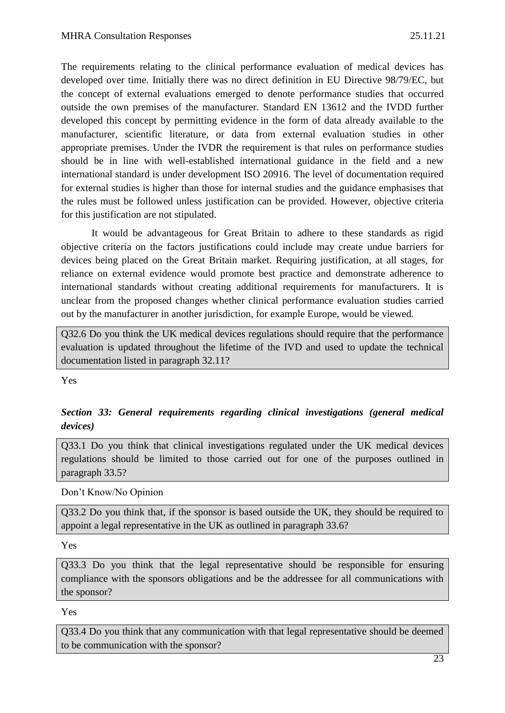The requirements relating to the clinical performance evaluation of medical devices has developed over time. Initially there was no direct definition in EU Directive 98/79/EC, but the concept of external evaluations emerged to denote performance studies that occurred outside the own premises of the manufacturer. Standard EN 13612 and the IVDD further developed this concept by permitting evidence in the form of data already available to the manufacturer, scientific literature, or data from external evaluation studies in other appropriate premises. Under the IVDR the requirement is that rules on performance studies should be in line with well-established international guidance in the field and a new international standard is under development ISO 20916. The level of documentation required for external studies is higher than those for internal studies and the guidance emphasises that the rules must be followed unless justification can be provided. However, objective criteria for this justification are not stipulated.

It would be advantageous for Great Britain to adhere to these standards as rigid objective criteria on the factors justifications could include may create undue barriers for devices being placed on the Great Britain market. Requiring justification, at all stages, for reliance on external evidence would promote best practice and demonstrate adherence to international standards without creating additional requirements for manufacturers. It is unclear from the proposed changes whether clinical performance evaluation studies carried out by the manufacturer in another jurisdiction, for example Europe, would be viewed.

Q32.6 Do you think the UK medical devices regulations should require that the performance evaluation is updated throughout the lifetime of the IVD and used to update the technical documentation listed in paragraph 32.11?

Yes

## *Section 33: General requirements regarding clinical investigations (general medical devices)*

Q33.1 Do you think that clinical investigations regulated under the UK medical devices regulations should be limited to those carried out for one of the purposes outlined in paragraph 33.5?

Don't Know/No Opinion

Q33.2 Do you think that, if the sponsor is based outside the UK, they should be required to appoint a legal representative in the UK as outlined in paragraph 33.6?

Yes

Q33.3 Do you think that the legal representative should be responsible for ensuring compliance with the sponsors obligations and be the addressee for all communications with the sponsor?

Yes

Q33.4 Do you think that any communication with that legal representative should be deemed to be communication with the sponsor?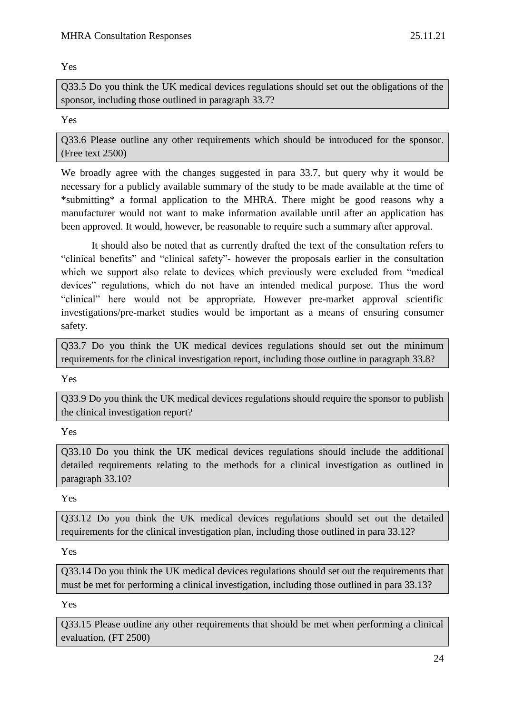#### Yes

Q33.5 Do you think the UK medical devices regulations should set out the obligations of the sponsor, including those outlined in paragraph 33.7?

## Yes

Q33.6 Please outline any other requirements which should be introduced for the sponsor. (Free text 2500)

We broadly agree with the changes suggested in para 33.7, but query why it would be necessary for a publicly available summary of the study to be made available at the time of \*submitting\* a formal application to the MHRA. There might be good reasons why a manufacturer would not want to make information available until after an application has been approved. It would, however, be reasonable to require such a summary after approval.

It should also be noted that as currently drafted the text of the consultation refers to "clinical benefits" and "clinical safety"- however the proposals earlier in the consultation which we support also relate to devices which previously were excluded from "medical devices" regulations, which do not have an intended medical purpose. Thus the word "clinical" here would not be appropriate. However pre-market approval scientific investigations/pre-market studies would be important as a means of ensuring consumer safety.

Q33.7 Do you think the UK medical devices regulations should set out the minimum requirements for the clinical investigation report, including those outline in paragraph 33.8?

Yes

Q33.9 Do you think the UK medical devices regulations should require the sponsor to publish the clinical investigation report?

Yes

Q33.10 Do you think the UK medical devices regulations should include the additional detailed requirements relating to the methods for a clinical investigation as outlined in paragraph 33.10?

Yes

Q33.12 Do you think the UK medical devices regulations should set out the detailed requirements for the clinical investigation plan, including those outlined in para 33.12?

Yes

Q33.14 Do you think the UK medical devices regulations should set out the requirements that must be met for performing a clinical investigation, including those outlined in para 33.13?

Yes

Q33.15 Please outline any other requirements that should be met when performing a clinical evaluation. (FT 2500)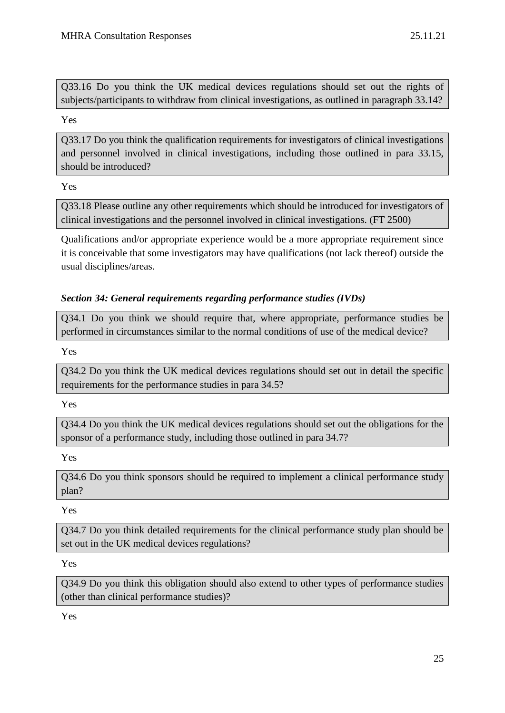Q33.16 Do you think the UK medical devices regulations should set out the rights of subjects/participants to withdraw from clinical investigations, as outlined in paragraph 33.14?

Yes

Q33.17 Do you think the qualification requirements for investigators of clinical investigations and personnel involved in clinical investigations, including those outlined in para 33.15, should be introduced?

Yes

Q33.18 Please outline any other requirements which should be introduced for investigators of clinical investigations and the personnel involved in clinical investigations. (FT 2500)

Qualifications and/or appropriate experience would be a more appropriate requirement since it is conceivable that some investigators may have qualifications (not lack thereof) outside the usual disciplines/areas.

## *Section 34: General requirements regarding performance studies (IVDs)*

Q34.1 Do you think we should require that, where appropriate, performance studies be performed in circumstances similar to the normal conditions of use of the medical device?

Yes

Q34.2 Do you think the UK medical devices regulations should set out in detail the specific requirements for the performance studies in para 34.5?

Yes

Q34.4 Do you think the UK medical devices regulations should set out the obligations for the sponsor of a performance study, including those outlined in para 34.7?

Yes

Q34.6 Do you think sponsors should be required to implement a clinical performance study plan?

Yes

Q34.7 Do you think detailed requirements for the clinical performance study plan should be set out in the UK medical devices regulations?

Yes

Q34.9 Do you think this obligation should also extend to other types of performance studies (other than clinical performance studies)?

Yes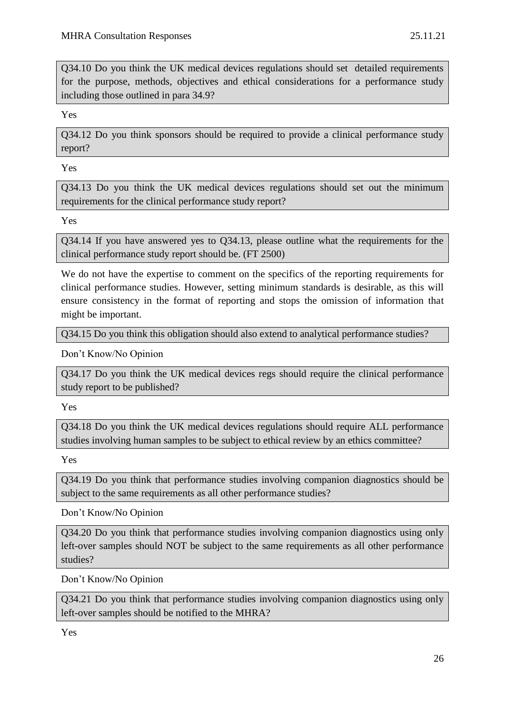Q34.10 Do you think the UK medical devices regulations should set detailed requirements for the purpose, methods, objectives and ethical considerations for a performance study including those outlined in para 34.9?

Yes

Q34.12 Do you think sponsors should be required to provide a clinical performance study report?

Yes

Q34.13 Do you think the UK medical devices regulations should set out the minimum requirements for the clinical performance study report?

Yes

Q34.14 If you have answered yes to Q34.13, please outline what the requirements for the clinical performance study report should be. (FT 2500)

We do not have the expertise to comment on the specifics of the reporting requirements for clinical performance studies. However, setting minimum standards is desirable, as this will ensure consistency in the format of reporting and stops the omission of information that might be important.

Q34.15 Do you think this obligation should also extend to analytical performance studies?

Don't Know/No Opinion

Q34.17 Do you think the UK medical devices regs should require the clinical performance study report to be published?

Yes

Q34.18 Do you think the UK medical devices regulations should require ALL performance studies involving human samples to be subject to ethical review by an ethics committee?

Yes

Q34.19 Do you think that performance studies involving companion diagnostics should be subject to the same requirements as all other performance studies?

Don't Know/No Opinion

Q34.20 Do you think that performance studies involving companion diagnostics using only left-over samples should NOT be subject to the same requirements as all other performance studies?

Don't Know/No Opinion

Q34.21 Do you think that performance studies involving companion diagnostics using only left-over samples should be notified to the MHRA?

Yes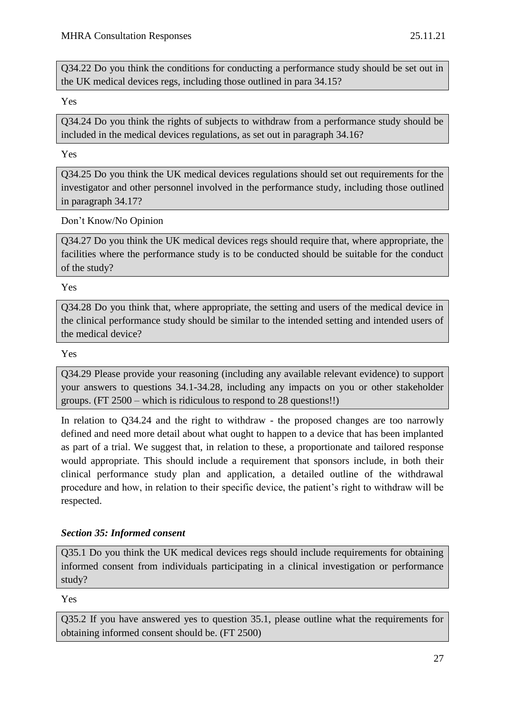Q34.22 Do you think the conditions for conducting a performance study should be set out in the UK medical devices regs, including those outlined in para 34.15?

Yes

Q34.24 Do you think the rights of subjects to withdraw from a performance study should be included in the medical devices regulations, as set out in paragraph 34.16?

Yes

Q34.25 Do you think the UK medical devices regulations should set out requirements for the investigator and other personnel involved in the performance study, including those outlined in paragraph 34.17?

Don't Know/No Opinion

Q34.27 Do you think the UK medical devices regs should require that, where appropriate, the facilities where the performance study is to be conducted should be suitable for the conduct of the study?

Yes

Q34.28 Do you think that, where appropriate, the setting and users of the medical device in the clinical performance study should be similar to the intended setting and intended users of the medical device?

Yes

Q34.29 Please provide your reasoning (including any available relevant evidence) to support your answers to questions 34.1-34.28, including any impacts on you or other stakeholder groups. (FT 2500 – which is ridiculous to respond to 28 questions!!)

In relation to Q34.24 and the right to withdraw - the proposed changes are too narrowly defined and need more detail about what ought to happen to a device that has been implanted as part of a trial. We suggest that, in relation to these, a proportionate and tailored response would appropriate. This should include a requirement that sponsors include, in both their clinical performance study plan and application, a detailed outline of the withdrawal procedure and how, in relation to their specific device, the patient's right to withdraw will be respected.

## *Section 35: Informed consent*

Q35.1 Do you think the UK medical devices regs should include requirements for obtaining informed consent from individuals participating in a clinical investigation or performance study?

Yes

Q35.2 If you have answered yes to question 35.1, please outline what the requirements for obtaining informed consent should be. (FT 2500)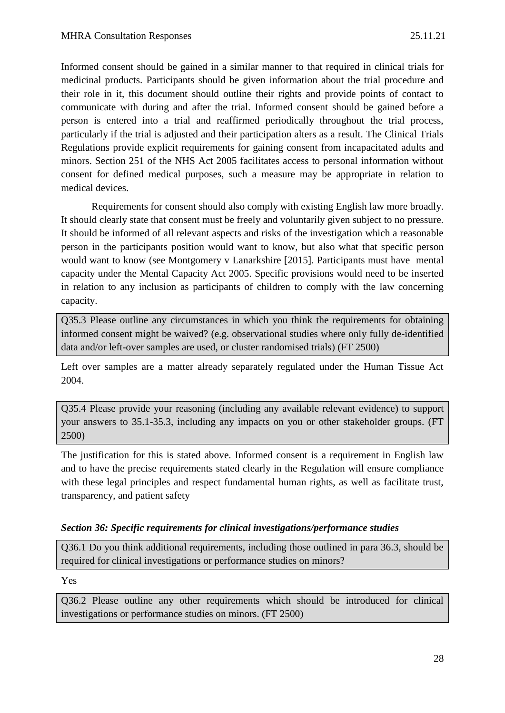Informed consent should be gained in a similar manner to that required in clinical trials for medicinal products. Participants should be given information about the trial procedure and their role in it, this document should outline their rights and provide points of contact to communicate with during and after the trial. Informed consent should be gained before a person is entered into a trial and reaffirmed periodically throughout the trial process, particularly if the trial is adjusted and their participation alters as a result. The Clinical Trials Regulations provide explicit requirements for gaining consent from incapacitated adults and minors. Section 251 of the NHS Act 2005 facilitates access to personal information without consent for defined medical purposes, such a measure may be appropriate in relation to medical devices.

Requirements for consent should also comply with existing English law more broadly. It should clearly state that consent must be freely and voluntarily given subject to no pressure. It should be informed of all relevant aspects and risks of the investigation which a reasonable person in the participants position would want to know, but also what that specific person would want to know (see Montgomery v Lanarkshire [2015]. Participants must have mental capacity under the Mental Capacity Act 2005. Specific provisions would need to be inserted in relation to any inclusion as participants of children to comply with the law concerning capacity.

Q35.3 Please outline any circumstances in which you think the requirements for obtaining informed consent might be waived? (e.g. observational studies where only fully de-identified data and/or left-over samples are used, or cluster randomised trials) (FT 2500)

Left over samples are a matter already separately regulated under the Human Tissue Act 2004.

Q35.4 Please provide your reasoning (including any available relevant evidence) to support your answers to 35.1-35.3, including any impacts on you or other stakeholder groups. (FT 2500)

The justification for this is stated above. Informed consent is a requirement in English law and to have the precise requirements stated clearly in the Regulation will ensure compliance with these legal principles and respect fundamental human rights, as well as facilitate trust, transparency, and patient safety

## *Section 36: Specific requirements for clinical investigations/performance studies*

Q36.1 Do you think additional requirements, including those outlined in para 36.3, should be required for clinical investigations or performance studies on minors?

Yes

Q36.2 Please outline any other requirements which should be introduced for clinical investigations or performance studies on minors. (FT 2500)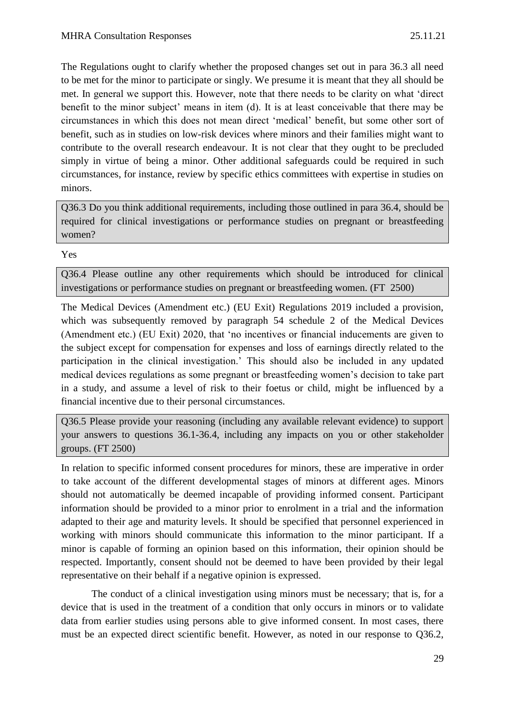The Regulations ought to clarify whether the proposed changes set out in para 36.3 all need to be met for the minor to participate or singly. We presume it is meant that they all should be met. In general we support this. However, note that there needs to be clarity on what 'direct benefit to the minor subject' means in item (d). It is at least conceivable that there may be circumstances in which this does not mean direct 'medical' benefit, but some other sort of benefit, such as in studies on low-risk devices where minors and their families might want to contribute to the overall research endeavour. It is not clear that they ought to be precluded simply in virtue of being a minor. Other additional safeguards could be required in such circumstances, for instance, review by specific ethics committees with expertise in studies on minors.

Q36.3 Do you think additional requirements, including those outlined in para 36.4, should be required for clinical investigations or performance studies on pregnant or breastfeeding women?

#### Yes

Q36.4 Please outline any other requirements which should be introduced for clinical investigations or performance studies on pregnant or breastfeeding women. (FT 2500)

The Medical Devices (Amendment etc.) (EU Exit) Regulations 2019 included a provision, which was subsequently removed by paragraph 54 schedule 2 of the Medical Devices (Amendment etc.) (EU Exit) 2020, that 'no incentives or financial inducements are given to the subject except for compensation for expenses and loss of earnings directly related to the participation in the clinical investigation.' This should also be included in any updated medical devices regulations as some pregnant or breastfeeding women's decision to take part in a study, and assume a level of risk to their foetus or child, might be influenced by a financial incentive due to their personal circumstances.

Q36.5 Please provide your reasoning (including any available relevant evidence) to support your answers to questions 36.1-36.4, including any impacts on you or other stakeholder groups. (FT 2500)

In relation to specific informed consent procedures for minors, these are imperative in order to take account of the different developmental stages of minors at different ages. Minors should not automatically be deemed incapable of providing informed consent. Participant information should be provided to a minor prior to enrolment in a trial and the information adapted to their age and maturity levels. It should be specified that personnel experienced in working with minors should communicate this information to the minor participant. If a minor is capable of forming an opinion based on this information, their opinion should be respected. Importantly, consent should not be deemed to have been provided by their legal representative on their behalf if a negative opinion is expressed.

The conduct of a clinical investigation using minors must be necessary; that is, for a device that is used in the treatment of a condition that only occurs in minors or to validate data from earlier studies using persons able to give informed consent. In most cases, there must be an expected direct scientific benefit. However, as noted in our response to Q36.2,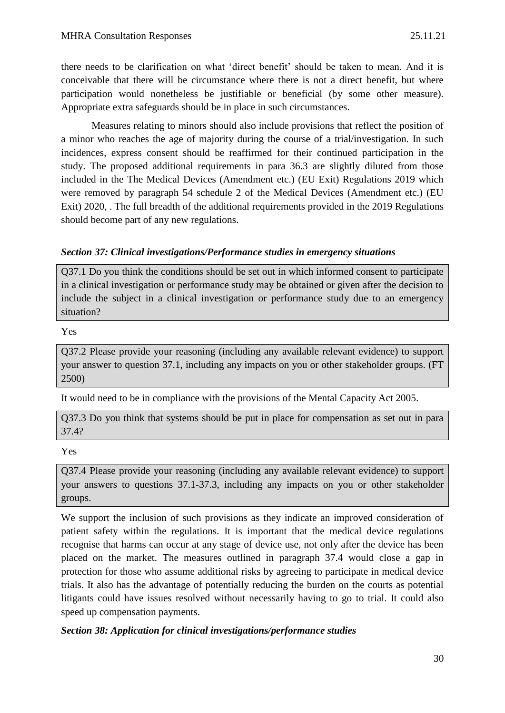there needs to be clarification on what 'direct benefit' should be taken to mean. And it is conceivable that there will be circumstance where there is not a direct benefit, but where participation would nonetheless be justifiable or beneficial (by some other measure). Appropriate extra safeguards should be in place in such circumstances.

Measures relating to minors should also include provisions that reflect the position of a minor who reaches the age of majority during the course of a trial/investigation. In such incidences, express consent should be reaffirmed for their continued participation in the study. The proposed additional requirements in para 36.3 are slightly diluted from those included in the The Medical Devices (Amendment etc.) (EU Exit) Regulations 2019 which were removed by paragraph 54 schedule 2 of the Medical Devices (Amendment etc.) (EU Exit) 2020, . The full breadth of the additional requirements provided in the 2019 Regulations should become part of any new regulations.

## *Section 37: Clinical investigations/Performance studies in emergency situations*

Q37.1 Do you think the conditions should be set out in which informed consent to participate in a clinical investigation or performance study may be obtained or given after the decision to include the subject in a clinical investigation or performance study due to an emergency situation?

Yes

Q37.2 Please provide your reasoning (including any available relevant evidence) to support your answer to question 37.1, including any impacts on you or other stakeholder groups. (FT 2500)

It would need to be in compliance with the provisions of the Mental Capacity Act 2005.

Q37.3 Do you think that systems should be put in place for compensation as set out in para 37.4?

Yes

Q37.4 Please provide your reasoning (including any available relevant evidence) to support your answers to questions 37.1-37.3, including any impacts on you or other stakeholder groups.

We support the inclusion of such provisions as they indicate an improved consideration of patient safety within the regulations. It is important that the medical device regulations recognise that harms can occur at any stage of device use, not only after the device has been placed on the market. The measures outlined in paragraph 37.4 would close a gap in protection for those who assume additional risks by agreeing to participate in medical device trials. It also has the advantage of potentially reducing the burden on the courts as potential litigants could have issues resolved without necessarily having to go to trial. It could also speed up compensation payments.

## *Section 38: Application for clinical investigations/performance studies*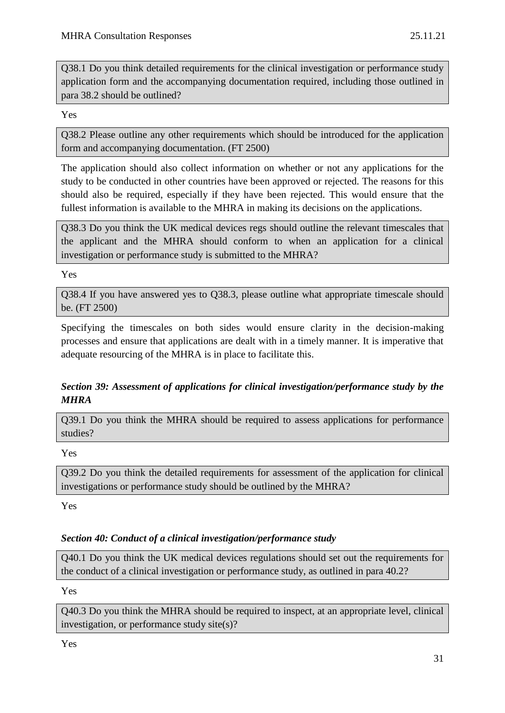Q38.1 Do you think detailed requirements for the clinical investigation or performance study application form and the accompanying documentation required, including those outlined in para 38.2 should be outlined?

Yes

Q38.2 Please outline any other requirements which should be introduced for the application form and accompanying documentation. (FT 2500)

The application should also collect information on whether or not any applications for the study to be conducted in other countries have been approved or rejected. The reasons for this should also be required, especially if they have been rejected. This would ensure that the fullest information is available to the MHRA in making its decisions on the applications.

Q38.3 Do you think the UK medical devices regs should outline the relevant timescales that the applicant and the MHRA should conform to when an application for a clinical investigation or performance study is submitted to the MHRA?

Yes

Q38.4 If you have answered yes to Q38.3, please outline what appropriate timescale should be. (FT 2500)

Specifying the timescales on both sides would ensure clarity in the decision-making processes and ensure that applications are dealt with in a timely manner. It is imperative that adequate resourcing of the MHRA is in place to facilitate this.

# *Section 39: Assessment of applications for clinical investigation/performance study by the MHRA*

Q39.1 Do you think the MHRA should be required to assess applications for performance studies?

Yes

Q39.2 Do you think the detailed requirements for assessment of the application for clinical investigations or performance study should be outlined by the MHRA?

Yes

## *Section 40: Conduct of a clinical investigation/performance study*

Q40.1 Do you think the UK medical devices regulations should set out the requirements for the conduct of a clinical investigation or performance study, as outlined in para 40.2?

Yes

Q40.3 Do you think the MHRA should be required to inspect, at an appropriate level, clinical investigation, or performance study site(s)?

Yes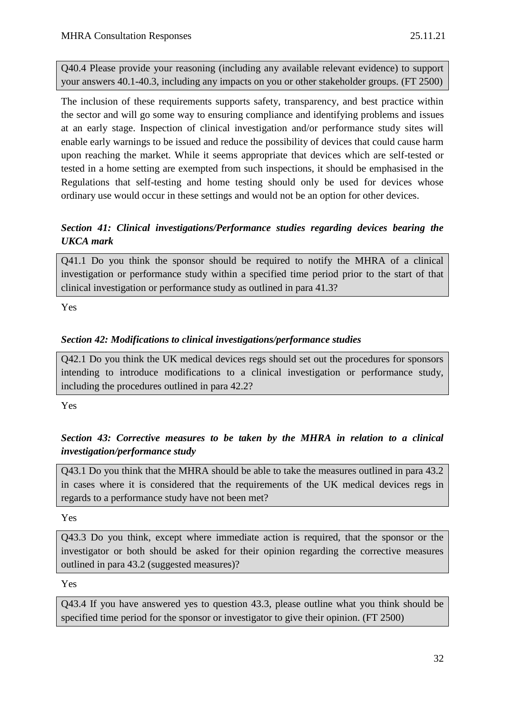Q40.4 Please provide your reasoning (including any available relevant evidence) to support your answers 40.1-40.3, including any impacts on you or other stakeholder groups. (FT 2500)

The inclusion of these requirements supports safety, transparency, and best practice within the sector and will go some way to ensuring compliance and identifying problems and issues at an early stage. Inspection of clinical investigation and/or performance study sites will enable early warnings to be issued and reduce the possibility of devices that could cause harm upon reaching the market. While it seems appropriate that devices which are self-tested or tested in a home setting are exempted from such inspections, it should be emphasised in the Regulations that self-testing and home testing should only be used for devices whose ordinary use would occur in these settings and would not be an option for other devices.

## *Section 41: Clinical investigations/Performance studies regarding devices bearing the UKCA mark*

Q41.1 Do you think the sponsor should be required to notify the MHRA of a clinical investigation or performance study within a specified time period prior to the start of that clinical investigation or performance study as outlined in para 41.3?

Yes

## *Section 42: Modifications to clinical investigations/performance studies*

Q42.1 Do you think the UK medical devices regs should set out the procedures for sponsors intending to introduce modifications to a clinical investigation or performance study, including the procedures outlined in para 42.2?

Yes

# *Section 43: Corrective measures to be taken by the MHRA in relation to a clinical investigation/performance study*

Q43.1 Do you think that the MHRA should be able to take the measures outlined in para 43.2 in cases where it is considered that the requirements of the UK medical devices regs in regards to a performance study have not been met?

Yes

Q43.3 Do you think, except where immediate action is required, that the sponsor or the investigator or both should be asked for their opinion regarding the corrective measures outlined in para 43.2 (suggested measures)?

Yes

Q43.4 If you have answered yes to question 43.3, please outline what you think should be specified time period for the sponsor or investigator to give their opinion. (FT 2500)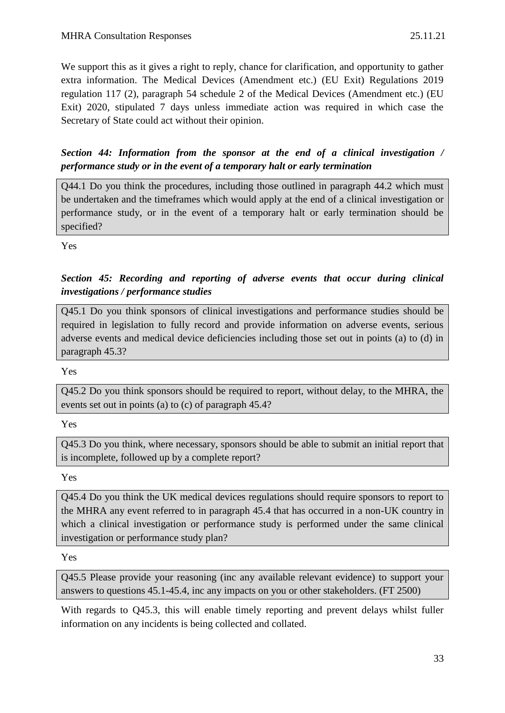We support this as it gives a right to reply, chance for clarification, and opportunity to gather extra information. The Medical Devices (Amendment etc.) (EU Exit) Regulations 2019 regulation 117 (2), paragraph 54 schedule 2 of the Medical Devices (Amendment etc.) (EU Exit) 2020, stipulated 7 days unless immediate action was required in which case the Secretary of State could act without their opinion.

# *Section 44: Information from the sponsor at the end of a clinical investigation / performance study or in the event of a temporary halt or early termination*

Q44.1 Do you think the procedures, including those outlined in paragraph 44.2 which must be undertaken and the timeframes which would apply at the end of a clinical investigation or performance study, or in the event of a temporary halt or early termination should be specified?

Yes

# *Section 45: Recording and reporting of adverse events that occur during clinical investigations / performance studies*

Q45.1 Do you think sponsors of clinical investigations and performance studies should be required in legislation to fully record and provide information on adverse events, serious adverse events and medical device deficiencies including those set out in points (a) to (d) in paragraph 45.3?

Yes

Q45.2 Do you think sponsors should be required to report, without delay, to the MHRA, the events set out in points (a) to (c) of paragraph 45.4?

Yes

Q45.3 Do you think, where necessary, sponsors should be able to submit an initial report that is incomplete, followed up by a complete report?

Yes

Q45.4 Do you think the UK medical devices regulations should require sponsors to report to the MHRA any event referred to in paragraph 45.4 that has occurred in a non-UK country in which a clinical investigation or performance study is performed under the same clinical investigation or performance study plan?

Yes

Q45.5 Please provide your reasoning (inc any available relevant evidence) to support your answers to questions 45.1-45.4, inc any impacts on you or other stakeholders. (FT 2500)

With regards to Q45.3, this will enable timely reporting and prevent delays whilst fuller information on any incidents is being collected and collated.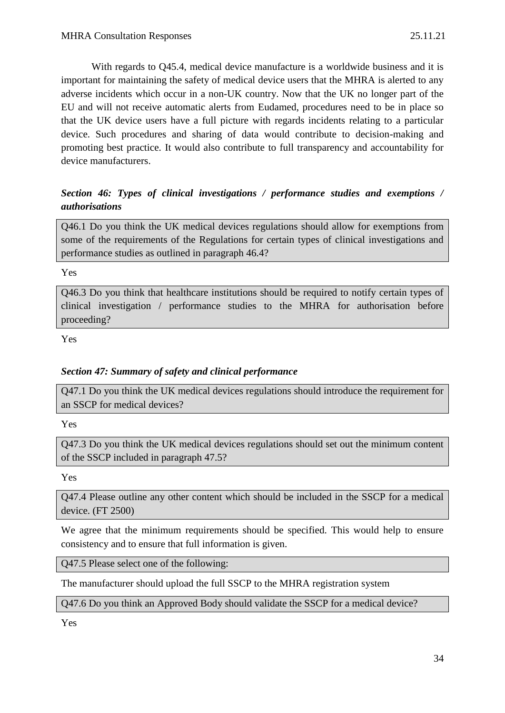With regards to Q45.4, medical device manufacture is a worldwide business and it is important for maintaining the safety of medical device users that the MHRA is alerted to any adverse incidents which occur in a non-UK country. Now that the UK no longer part of the EU and will not receive automatic alerts from Eudamed, procedures need to be in place so that the UK device users have a full picture with regards incidents relating to a particular device. Such procedures and sharing of data would contribute to decision-making and promoting best practice. It would also contribute to full transparency and accountability for device manufacturers.

# *Section 46: Types of clinical investigations / performance studies and exemptions / authorisations*

Q46.1 Do you think the UK medical devices regulations should allow for exemptions from some of the requirements of the Regulations for certain types of clinical investigations and performance studies as outlined in paragraph 46.4?

Yes

Q46.3 Do you think that healthcare institutions should be required to notify certain types of clinical investigation / performance studies to the MHRA for authorisation before proceeding?

Yes

## *Section 47: Summary of safety and clinical performance*

Q47.1 Do you think the UK medical devices regulations should introduce the requirement for an SSCP for medical devices?

Yes

Q47.3 Do you think the UK medical devices regulations should set out the minimum content of the SSCP included in paragraph 47.5?

Yes

Q47.4 Please outline any other content which should be included in the SSCP for a medical device. (FT 2500)

We agree that the minimum requirements should be specified. This would help to ensure consistency and to ensure that full information is given.

Q47.5 Please select one of the following:

The manufacturer should upload the full SSCP to the MHRA registration system

Q47.6 Do you think an Approved Body should validate the SSCP for a medical device?

Yes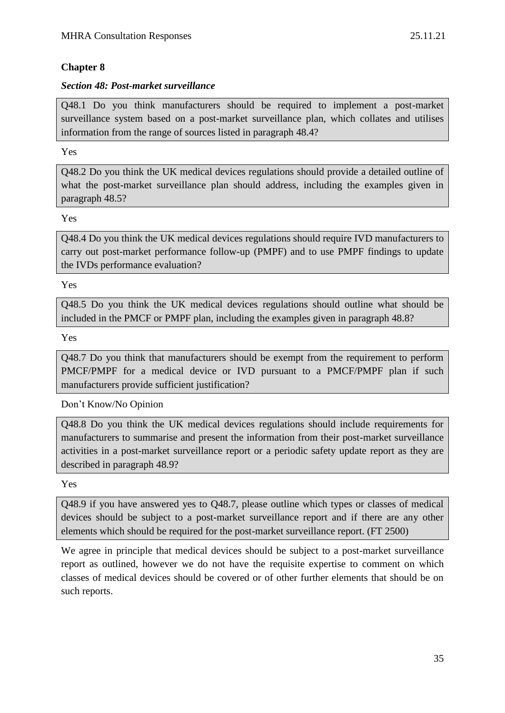## **Chapter 8**

#### *Section 48: Post-market surveillance*

Q48.1 Do you think manufacturers should be required to implement a post-market surveillance system based on a post-market surveillance plan, which collates and utilises information from the range of sources listed in paragraph 48.4?

#### Yes

Q48.2 Do you think the UK medical devices regulations should provide a detailed outline of what the post-market surveillance plan should address, including the examples given in paragraph 48.5?

Yes

Q48.4 Do you think the UK medical devices regulations should require IVD manufacturers to carry out post-market performance follow-up (PMPF) and to use PMPF findings to update the IVDs performance evaluation?

Yes

Q48.5 Do you think the UK medical devices regulations should outline what should be included in the PMCF or PMPF plan, including the examples given in paragraph 48.8?

Yes

Q48.7 Do you think that manufacturers should be exempt from the requirement to perform PMCF/PMPF for a medical device or IVD pursuant to a PMCF/PMPF plan if such manufacturers provide sufficient justification?

Don't Know/No Opinion

Q48.8 Do you think the UK medical devices regulations should include requirements for manufacturers to summarise and present the information from their post-market surveillance activities in a post-market surveillance report or a periodic safety update report as they are described in paragraph 48.9?

Yes

Q48.9 if you have answered yes to Q48.7, please outline which types or classes of medical devices should be subject to a post-market surveillance report and if there are any other elements which should be required for the post-market surveillance report. (FT 2500)

We agree in principle that medical devices should be subject to a post-market surveillance report as outlined, however we do not have the requisite expertise to comment on which classes of medical devices should be covered or of other further elements that should be on such reports.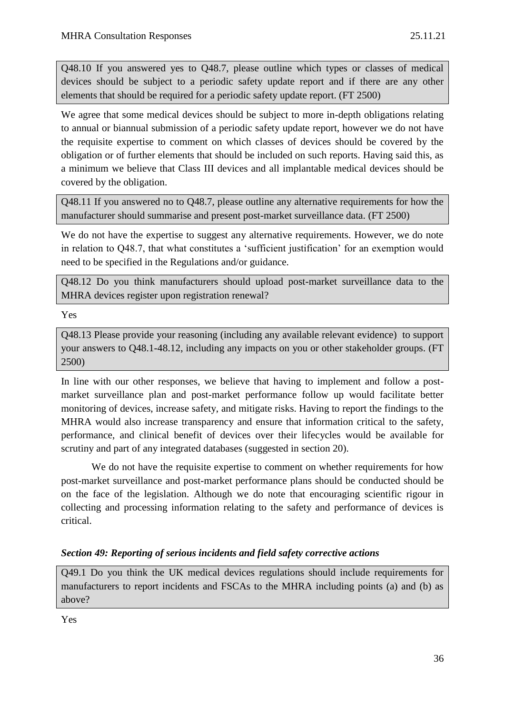Q48.10 If you answered yes to Q48.7, please outline which types or classes of medical devices should be subject to a periodic safety update report and if there are any other elements that should be required for a periodic safety update report. (FT 2500)

We agree that some medical devices should be subject to more in-depth obligations relating to annual or biannual submission of a periodic safety update report, however we do not have the requisite expertise to comment on which classes of devices should be covered by the obligation or of further elements that should be included on such reports. Having said this, as a minimum we believe that Class III devices and all implantable medical devices should be covered by the obligation.

Q48.11 If you answered no to Q48.7, please outline any alternative requirements for how the manufacturer should summarise and present post-market surveillance data. (FT 2500)

We do not have the expertise to suggest any alternative requirements. However, we do note in relation to Q48.7, that what constitutes a 'sufficient justification' for an exemption would need to be specified in the Regulations and/or guidance.

Q48.12 Do you think manufacturers should upload post-market surveillance data to the MHRA devices register upon registration renewal?

Yes

Q48.13 Please provide your reasoning (including any available relevant evidence) to support your answers to Q48.1-48.12, including any impacts on you or other stakeholder groups. (FT 2500)

In line with our other responses, we believe that having to implement and follow a postmarket surveillance plan and post-market performance follow up would facilitate better monitoring of devices, increase safety, and mitigate risks. Having to report the findings to the MHRA would also increase transparency and ensure that information critical to the safety, performance, and clinical benefit of devices over their lifecycles would be available for scrutiny and part of any integrated databases (suggested in section 20).

We do not have the requisite expertise to comment on whether requirements for how post-market surveillance and post-market performance plans should be conducted should be on the face of the legislation. Although we do note that encouraging scientific rigour in collecting and processing information relating to the safety and performance of devices is critical.

## *Section 49: Reporting of serious incidents and field safety corrective actions*

Q49.1 Do you think the UK medical devices regulations should include requirements for manufacturers to report incidents and FSCAs to the MHRA including points (a) and (b) as above?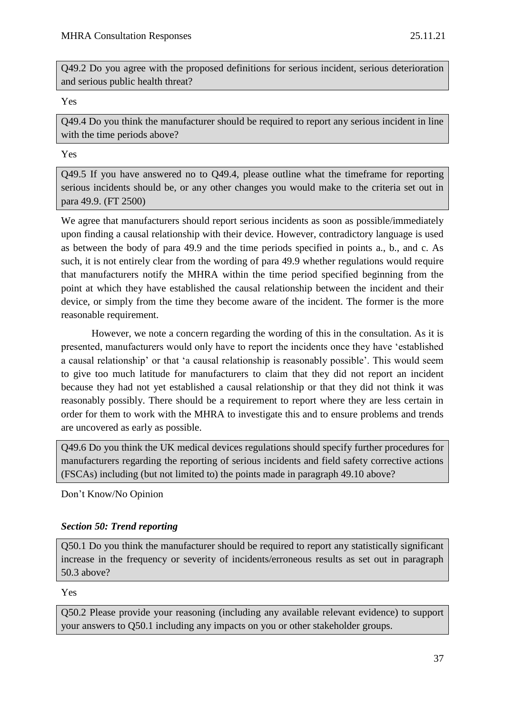Q49.2 Do you agree with the proposed definitions for serious incident, serious deterioration and serious public health threat?

Yes

Q49.4 Do you think the manufacturer should be required to report any serious incident in line with the time periods above?

Yes

Q49.5 If you have answered no to Q49.4, please outline what the timeframe for reporting serious incidents should be, or any other changes you would make to the criteria set out in para 49.9. (FT 2500)

We agree that manufacturers should report serious incidents as soon as possible/immediately upon finding a causal relationship with their device. However, contradictory language is used as between the body of para 49.9 and the time periods specified in points a., b., and c. As such, it is not entirely clear from the wording of para 49.9 whether regulations would require that manufacturers notify the MHRA within the time period specified beginning from the point at which they have established the causal relationship between the incident and their device, or simply from the time they become aware of the incident. The former is the more reasonable requirement.

However, we note a concern regarding the wording of this in the consultation. As it is presented, manufacturers would only have to report the incidents once they have 'established a causal relationship' or that 'a causal relationship is reasonably possible'. This would seem to give too much latitude for manufacturers to claim that they did not report an incident because they had not yet established a causal relationship or that they did not think it was reasonably possibly. There should be a requirement to report where they are less certain in order for them to work with the MHRA to investigate this and to ensure problems and trends are uncovered as early as possible.

Q49.6 Do you think the UK medical devices regulations should specify further procedures for manufacturers regarding the reporting of serious incidents and field safety corrective actions (FSCAs) including (but not limited to) the points made in paragraph 49.10 above?

Don't Know/No Opinion

## *Section 50: Trend reporting*

Q50.1 Do you think the manufacturer should be required to report any statistically significant increase in the frequency or severity of incidents/erroneous results as set out in paragraph 50.3 above?

Yes

Q50.2 Please provide your reasoning (including any available relevant evidence) to support your answers to Q50.1 including any impacts on you or other stakeholder groups.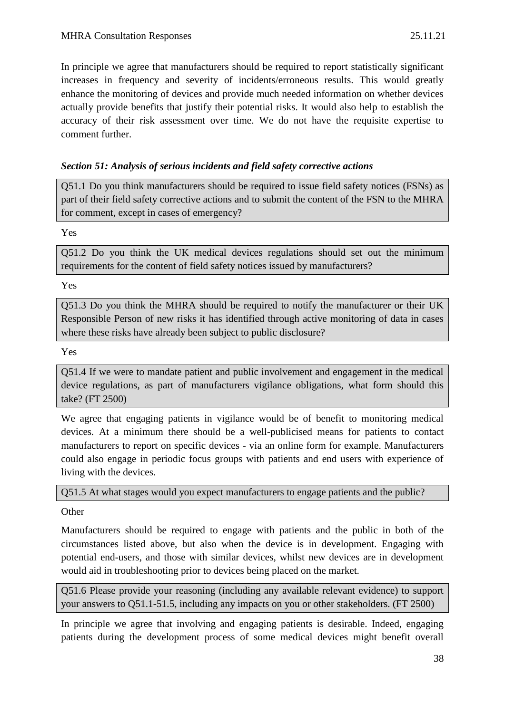In principle we agree that manufacturers should be required to report statistically significant increases in frequency and severity of incidents/erroneous results. This would greatly enhance the monitoring of devices and provide much needed information on whether devices actually provide benefits that justify their potential risks. It would also help to establish the accuracy of their risk assessment over time. We do not have the requisite expertise to comment further.

## *Section 51: Analysis of serious incidents and field safety corrective actions*

Q51.1 Do you think manufacturers should be required to issue field safety notices (FSNs) as part of their field safety corrective actions and to submit the content of the FSN to the MHRA for comment, except in cases of emergency?

Yes

Q51.2 Do you think the UK medical devices regulations should set out the minimum requirements for the content of field safety notices issued by manufacturers?

Yes

Q51.3 Do you think the MHRA should be required to notify the manufacturer or their UK Responsible Person of new risks it has identified through active monitoring of data in cases where these risks have already been subject to public disclosure?

Yes

Q51.4 If we were to mandate patient and public involvement and engagement in the medical device regulations, as part of manufacturers vigilance obligations, what form should this take? (FT 2500)

We agree that engaging patients in vigilance would be of benefit to monitoring medical devices. At a minimum there should be a well-publicised means for patients to contact manufacturers to report on specific devices - via an online form for example. Manufacturers could also engage in periodic focus groups with patients and end users with experience of living with the devices.

Q51.5 At what stages would you expect manufacturers to engage patients and the public?

**Other** 

Manufacturers should be required to engage with patients and the public in both of the circumstances listed above, but also when the device is in development. Engaging with potential end-users, and those with similar devices, whilst new devices are in development would aid in troubleshooting prior to devices being placed on the market.

Q51.6 Please provide your reasoning (including any available relevant evidence) to support your answers to Q51.1-51.5, including any impacts on you or other stakeholders. (FT 2500)

In principle we agree that involving and engaging patients is desirable. Indeed, engaging patients during the development process of some medical devices might benefit overall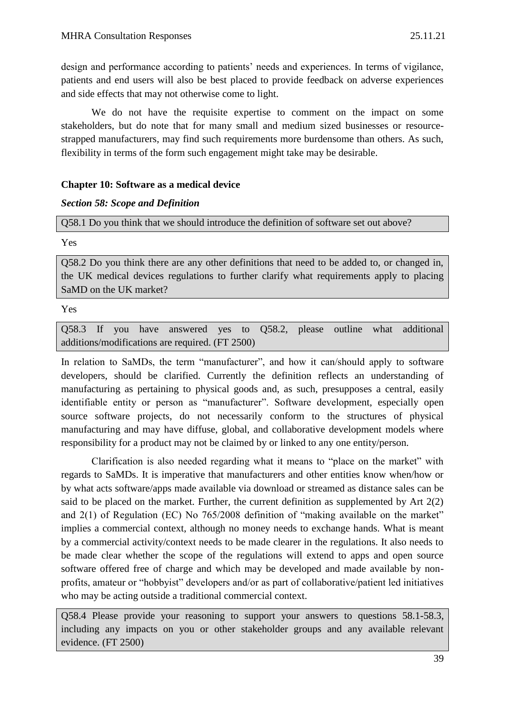design and performance according to patients' needs and experiences. In terms of vigilance, patients and end users will also be best placed to provide feedback on adverse experiences and side effects that may not otherwise come to light.

We do not have the requisite expertise to comment on the impact on some stakeholders, but do note that for many small and medium sized businesses or resourcestrapped manufacturers, may find such requirements more burdensome than others. As such, flexibility in terms of the form such engagement might take may be desirable.

## **Chapter 10: Software as a medical device**

## *Section 58: Scope and Definition*

Q58.1 Do you think that we should introduce the definition of software set out above?

Yes

Q58.2 Do you think there are any other definitions that need to be added to, or changed in, the UK medical devices regulations to further clarify what requirements apply to placing SaMD on the UK market?

Yes

Q58.3 If you have answered yes to Q58.2, please outline what additional additions/modifications are required. (FT 2500)

In relation to SaMDs, the term "manufacturer", and how it can/should apply to software developers, should be clarified. Currently the definition reflects an understanding of manufacturing as pertaining to physical goods and, as such, presupposes a central, easily identifiable entity or person as "manufacturer". Software development, especially open source software projects, do not necessarily conform to the structures of physical manufacturing and may have diffuse, global, and collaborative development models where responsibility for a product may not be claimed by or linked to any one entity/person.

Clarification is also needed regarding what it means to "place on the market" with regards to SaMDs. It is imperative that manufacturers and other entities know when/how or by what acts software/apps made available via download or streamed as distance sales can be said to be placed on the market. Further, the current definition as supplemented by Art 2(2) and 2(1) of Regulation (EC) No 765/2008 definition of "making available on the market" implies a commercial context, although no money needs to exchange hands. What is meant by a commercial activity/context needs to be made clearer in the regulations. It also needs to be made clear whether the scope of the regulations will extend to apps and open source software offered free of charge and which may be developed and made available by nonprofits, amateur or "hobbyist" developers and/or as part of collaborative/patient led initiatives who may be acting outside a traditional commercial context.

Q58.4 Please provide your reasoning to support your answers to questions 58.1-58.3, including any impacts on you or other stakeholder groups and any available relevant evidence. (FT 2500)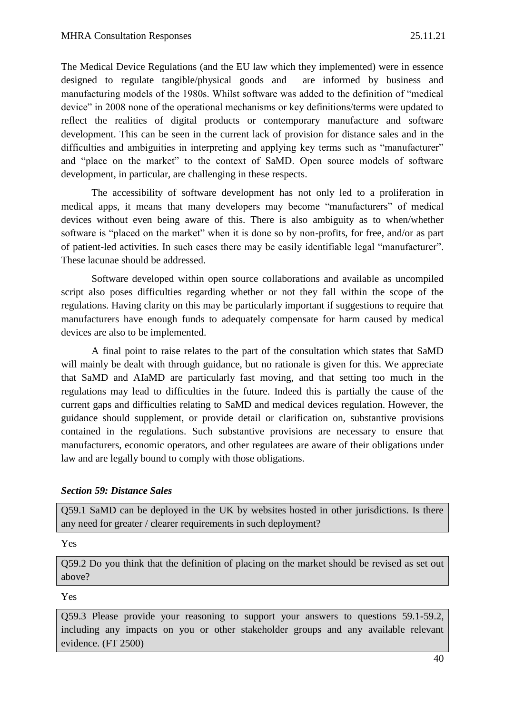The Medical Device Regulations (and the EU law which they implemented) were in essence designed to regulate tangible/physical goods and are informed by business and manufacturing models of the 1980s. Whilst software was added to the definition of "medical device" in 2008 none of the operational mechanisms or key definitions/terms were updated to reflect the realities of digital products or contemporary manufacture and software development. This can be seen in the current lack of provision for distance sales and in the difficulties and ambiguities in interpreting and applying key terms such as "manufacturer" and "place on the market" to the context of SaMD. Open source models of software development, in particular, are challenging in these respects.

The accessibility of software development has not only led to a proliferation in medical apps, it means that many developers may become "manufacturers" of medical devices without even being aware of this. There is also ambiguity as to when/whether software is "placed on the market" when it is done so by non-profits, for free, and/or as part of patient-led activities. In such cases there may be easily identifiable legal "manufacturer". These lacunae should be addressed.

Software developed within open source collaborations and available as uncompiled script also poses difficulties regarding whether or not they fall within the scope of the regulations. Having clarity on this may be particularly important if suggestions to require that manufacturers have enough funds to adequately compensate for harm caused by medical devices are also to be implemented.

A final point to raise relates to the part of the consultation which states that SaMD will mainly be dealt with through guidance, but no rationale is given for this. We appreciate that SaMD and AIaMD are particularly fast moving, and that setting too much in the regulations may lead to difficulties in the future. Indeed this is partially the cause of the current gaps and difficulties relating to SaMD and medical devices regulation. However, the guidance should supplement, or provide detail or clarification on, substantive provisions contained in the regulations. Such substantive provisions are necessary to ensure that manufacturers, economic operators, and other regulatees are aware of their obligations under law and are legally bound to comply with those obligations.

## *Section 59: Distance Sales*

Q59.1 SaMD can be deployed in the UK by websites hosted in other jurisdictions. Is there any need for greater / clearer requirements in such deployment?

Yes

Q59.2 Do you think that the definition of placing on the market should be revised as set out above?

Yes

Q59.3 Please provide your reasoning to support your answers to questions 59.1-59.2, including any impacts on you or other stakeholder groups and any available relevant evidence. (FT 2500)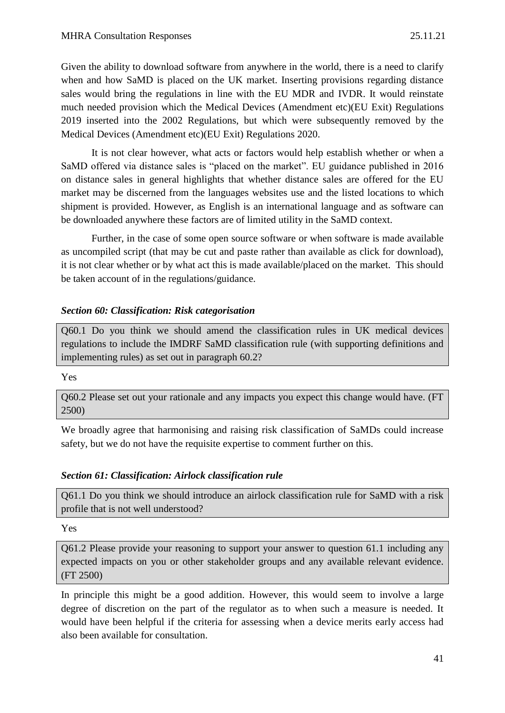Given the ability to download software from anywhere in the world, there is a need to clarify when and how SaMD is placed on the UK market. Inserting provisions regarding distance sales would bring the regulations in line with the EU MDR and IVDR. It would reinstate much needed provision which the Medical Devices (Amendment etc)(EU Exit) Regulations 2019 inserted into the 2002 Regulations, but which were subsequently removed by the Medical Devices (Amendment etc)(EU Exit) Regulations 2020.

It is not clear however, what acts or factors would help establish whether or when a SaMD offered via distance sales is "placed on the market". EU guidance published in 2016 on distance sales in general highlights that whether distance sales are offered for the EU market may be discerned from the languages websites use and the listed locations to which shipment is provided. However, as English is an international language and as software can be downloaded anywhere these factors are of limited utility in the SaMD context.

Further, in the case of some open source software or when software is made available as uncompiled script (that may be cut and paste rather than available as click for download), it is not clear whether or by what act this is made available/placed on the market. This should be taken account of in the regulations/guidance.

## *Section 60: Classification: Risk categorisation*

Q60.1 Do you think we should amend the classification rules in UK medical devices regulations to include the IMDRF SaMD classification rule (with supporting definitions and implementing rules) as set out in paragraph 60.2?

#### Yes

Q60.2 Please set out your rationale and any impacts you expect this change would have. (FT 2500)

We broadly agree that harmonising and raising risk classification of SaMDs could increase safety, but we do not have the requisite expertise to comment further on this.

## *Section 61: Classification: Airlock classification rule*

Q61.1 Do you think we should introduce an airlock classification rule for SaMD with a risk profile that is not well understood?

Yes

Q61.2 Please provide your reasoning to support your answer to question 61.1 including any expected impacts on you or other stakeholder groups and any available relevant evidence. (FT 2500)

In principle this might be a good addition. However, this would seem to involve a large degree of discretion on the part of the regulator as to when such a measure is needed. It would have been helpful if the criteria for assessing when a device merits early access had also been available for consultation.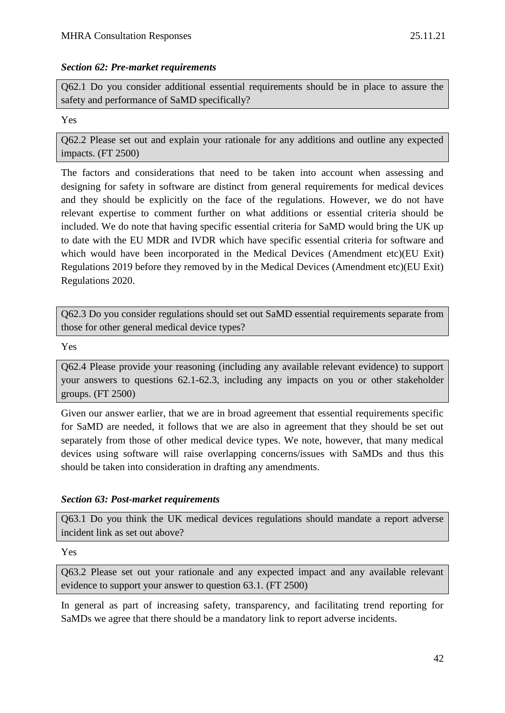#### *Section 62: Pre-market requirements*

Q62.1 Do you consider additional essential requirements should be in place to assure the safety and performance of SaMD specifically?

#### Yes

Q62.2 Please set out and explain your rationale for any additions and outline any expected impacts. (FT 2500)

The factors and considerations that need to be taken into account when assessing and designing for safety in software are distinct from general requirements for medical devices and they should be explicitly on the face of the regulations. However, we do not have relevant expertise to comment further on what additions or essential criteria should be included. We do note that having specific essential criteria for SaMD would bring the UK up to date with the EU MDR and IVDR which have specific essential criteria for software and which would have been incorporated in the Medical Devices (Amendment etc)(EU Exit) Regulations 2019 before they removed by in the Medical Devices (Amendment etc)(EU Exit) Regulations 2020.

Q62.3 Do you consider regulations should set out SaMD essential requirements separate from those for other general medical device types?

Yes

Q62.4 Please provide your reasoning (including any available relevant evidence) to support your answers to questions 62.1-62.3, including any impacts on you or other stakeholder groups. (FT 2500)

Given our answer earlier, that we are in broad agreement that essential requirements specific for SaMD are needed, it follows that we are also in agreement that they should be set out separately from those of other medical device types. We note, however, that many medical devices using software will raise overlapping concerns/issues with SaMDs and thus this should be taken into consideration in drafting any amendments.

## *Section 63: Post-market requirements*

Q63.1 Do you think the UK medical devices regulations should mandate a report adverse incident link as set out above?

Yes

Q63.2 Please set out your rationale and any expected impact and any available relevant evidence to support your answer to question 63.1. (FT 2500)

In general as part of increasing safety, transparency, and facilitating trend reporting for SaMDs we agree that there should be a mandatory link to report adverse incidents.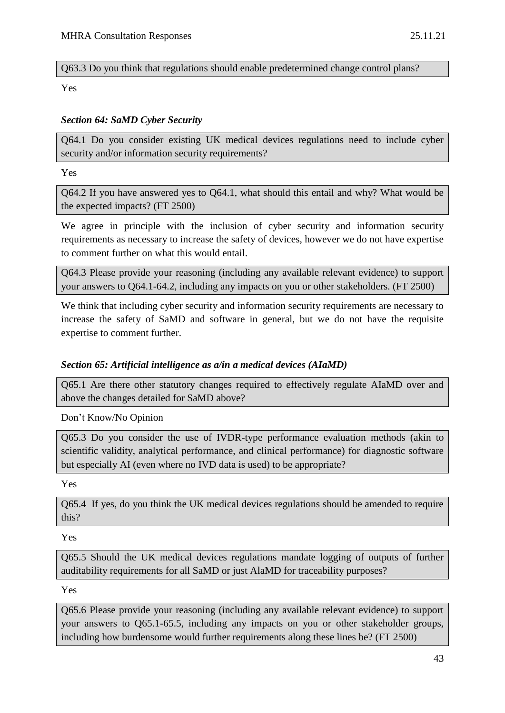## Q63.3 Do you think that regulations should enable predetermined change control plans?

Yes

## *Section 64: SaMD Cyber Security*

Q64.1 Do you consider existing UK medical devices regulations need to include cyber security and/or information security requirements?

Yes

Q64.2 If you have answered yes to Q64.1, what should this entail and why? What would be the expected impacts? (FT 2500)

We agree in principle with the inclusion of cyber security and information security requirements as necessary to increase the safety of devices, however we do not have expertise to comment further on what this would entail.

Q64.3 Please provide your reasoning (including any available relevant evidence) to support your answers to Q64.1-64.2, including any impacts on you or other stakeholders. (FT 2500)

We think that including cyber security and information security requirements are necessary to increase the safety of SaMD and software in general, but we do not have the requisite expertise to comment further.

## *Section 65: Artificial intelligence as a/in a medical devices (AIaMD)*

Q65.1 Are there other statutory changes required to effectively regulate AIaMD over and above the changes detailed for SaMD above?

Don't Know/No Opinion

Q65.3 Do you consider the use of IVDR-type performance evaluation methods (akin to scientific validity, analytical performance, and clinical performance) for diagnostic software but especially AI (even where no IVD data is used) to be appropriate?

Yes

Q65.4 If yes, do you think the UK medical devices regulations should be amended to require this?

Yes

Q65.5 Should the UK medical devices regulations mandate logging of outputs of further auditability requirements for all SaMD or just AlaMD for traceability purposes?

Yes

Q65.6 Please provide your reasoning (including any available relevant evidence) to support your answers to Q65.1-65.5, including any impacts on you or other stakeholder groups, including how burdensome would further requirements along these lines be? (FT 2500)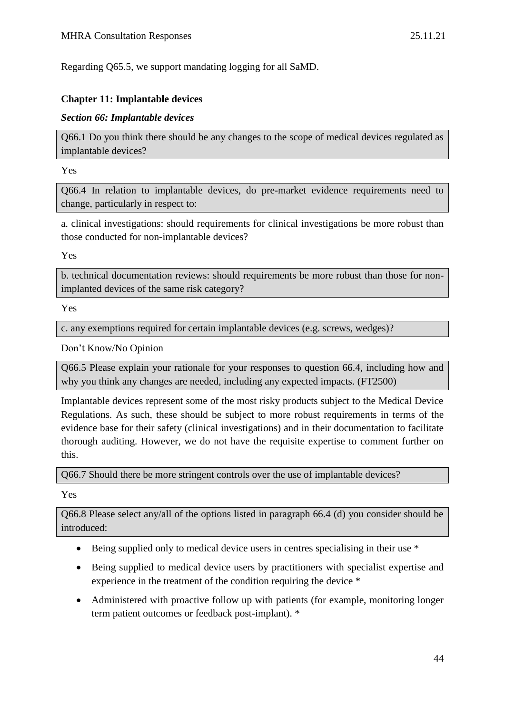Regarding Q65.5, we support mandating logging for all SaMD.

#### **Chapter 11: Implantable devices**

#### *Section 66: Implantable devices*

Q66.1 Do you think there should be any changes to the scope of medical devices regulated as implantable devices?

Yes

Q66.4 In relation to implantable devices, do pre-market evidence requirements need to change, particularly in respect to:

a. clinical investigations: should requirements for clinical investigations be more robust than those conducted for non-implantable devices?

Yes

b. technical documentation reviews: should requirements be more robust than those for nonimplanted devices of the same risk category?

Yes

c. any exemptions required for certain implantable devices (e.g. screws, wedges)?

Don't Know/No Opinion

Q66.5 Please explain your rationale for your responses to question 66.4, including how and why you think any changes are needed, including any expected impacts. (FT2500)

Implantable devices represent some of the most risky products subject to the Medical Device Regulations. As such, these should be subject to more robust requirements in terms of the evidence base for their safety (clinical investigations) and in their documentation to facilitate thorough auditing. However, we do not have the requisite expertise to comment further on this.

Q66.7 Should there be more stringent controls over the use of implantable devices?

Yes

Q66.8 Please select any/all of the options listed in paragraph 66.4 (d) you consider should be introduced:

- Being supplied only to medical device users in centres specialising in their use  $*$
- Being supplied to medical device users by practitioners with specialist expertise and experience in the treatment of the condition requiring the device \*
- Administered with proactive follow up with patients (for example, monitoring longer term patient outcomes or feedback post-implant). \*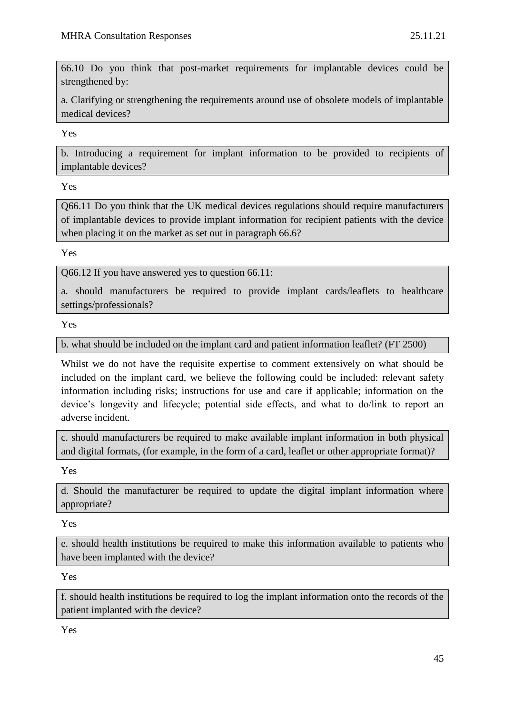66.10 Do you think that post-market requirements for implantable devices could be strengthened by:

a. Clarifying or strengthening the requirements around use of obsolete models of implantable medical devices?

Yes

b. Introducing a requirement for implant information to be provided to recipients of implantable devices?

Yes

Q66.11 Do you think that the UK medical devices regulations should require manufacturers of implantable devices to provide implant information for recipient patients with the device when placing it on the market as set out in paragraph 66.6?

Yes

Q66.12 If you have answered yes to question 66.11:

a. should manufacturers be required to provide implant cards/leaflets to healthcare settings/professionals?

Yes

b. what should be included on the implant card and patient information leaflet? (FT 2500)

Whilst we do not have the requisite expertise to comment extensively on what should be included on the implant card, we believe the following could be included: relevant safety information including risks; instructions for use and care if applicable; information on the device's longevity and lifecycle; potential side effects, and what to do/link to report an adverse incident.

c. should manufacturers be required to make available implant information in both physical and digital formats, (for example, in the form of a card, leaflet or other appropriate format)?

Yes

d. Should the manufacturer be required to update the digital implant information where appropriate?

Yes

e. should health institutions be required to make this information available to patients who have been implanted with the device?

Yes

f. should health institutions be required to log the implant information onto the records of the patient implanted with the device?

Yes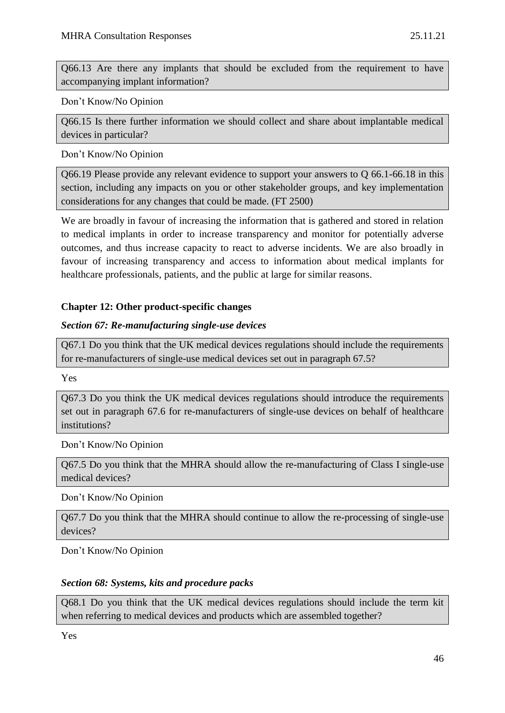Q66.13 Are there any implants that should be excluded from the requirement to have accompanying implant information?

Don't Know/No Opinion

Q66.15 Is there further information we should collect and share about implantable medical devices in particular?

Don't Know/No Opinion

Q66.19 Please provide any relevant evidence to support your answers to Q 66.1-66.18 in this section, including any impacts on you or other stakeholder groups, and key implementation considerations for any changes that could be made. (FT 2500)

We are broadly in favour of increasing the information that is gathered and stored in relation to medical implants in order to increase transparency and monitor for potentially adverse outcomes, and thus increase capacity to react to adverse incidents. We are also broadly in favour of increasing transparency and access to information about medical implants for healthcare professionals, patients, and the public at large for similar reasons.

## **Chapter 12: Other product-specific changes**

## *Section 67: Re-manufacturing single-use devices*

Q67.1 Do you think that the UK medical devices regulations should include the requirements for re-manufacturers of single-use medical devices set out in paragraph 67.5?

Yes

Q67.3 Do you think the UK medical devices regulations should introduce the requirements set out in paragraph 67.6 for re-manufacturers of single-use devices on behalf of healthcare institutions?

Don't Know/No Opinion

Q67.5 Do you think that the MHRA should allow the re-manufacturing of Class I single-use medical devices?

Don't Know/No Opinion

Q67.7 Do you think that the MHRA should continue to allow the re-processing of single-use devices?

Don't Know/No Opinion

## *Section 68: Systems, kits and procedure packs*

Q68.1 Do you think that the UK medical devices regulations should include the term kit when referring to medical devices and products which are assembled together?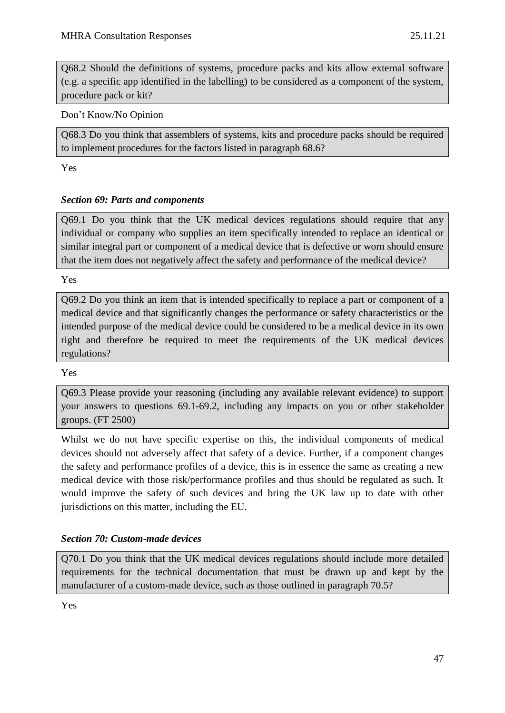Q68.2 Should the definitions of systems, procedure packs and kits allow external software (e.g. a specific app identified in the labelling) to be considered as a component of the system, procedure pack or kit?

Don't Know/No Opinion

Q68.3 Do you think that assemblers of systems, kits and procedure packs should be required to implement procedures for the factors listed in paragraph 68.6?

Yes

## *Section 69: Parts and components*

Q69.1 Do you think that the UK medical devices regulations should require that any individual or company who supplies an item specifically intended to replace an identical or similar integral part or component of a medical device that is defective or worn should ensure that the item does not negatively affect the safety and performance of the medical device?

Yes

Q69.2 Do you think an item that is intended specifically to replace a part or component of a medical device and that significantly changes the performance or safety characteristics or the intended purpose of the medical device could be considered to be a medical device in its own right and therefore be required to meet the requirements of the UK medical devices regulations?

Yes

Q69.3 Please provide your reasoning (including any available relevant evidence) to support your answers to questions 69.1-69.2, including any impacts on you or other stakeholder groups. (FT 2500)

Whilst we do not have specific expertise on this, the individual components of medical devices should not adversely affect that safety of a device. Further, if a component changes the safety and performance profiles of a device, this is in essence the same as creating a new medical device with those risk/performance profiles and thus should be regulated as such. It would improve the safety of such devices and bring the UK law up to date with other jurisdictions on this matter, including the EU.

## *Section 70: Custom-made devices*

Q70.1 Do you think that the UK medical devices regulations should include more detailed requirements for the technical documentation that must be drawn up and kept by the manufacturer of a custom-made device, such as those outlined in paragraph 70.5?

Yes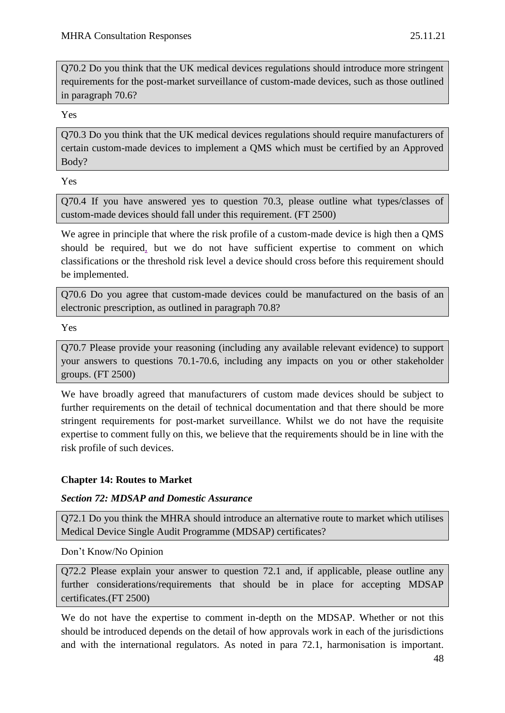Q70.2 Do you think that the UK medical devices regulations should introduce more stringent requirements for the post-market surveillance of custom-made devices, such as those outlined in paragraph 70.6?

Yes

Q70.3 Do you think that the UK medical devices regulations should require manufacturers of certain custom-made devices to implement a QMS which must be certified by an Approved Body?

Yes

Q70.4 If you have answered yes to question 70.3, please outline what types/classes of custom-made devices should fall under this requirement. (FT 2500)

We agree in principle that where the risk profile of a custom-made device is high then a QMS should be required, but we do not have sufficient expertise to comment on which classifications or the threshold risk level a device should cross before this requirement should be implemented.

Q70.6 Do you agree that custom-made devices could be manufactured on the basis of an electronic prescription, as outlined in paragraph 70.8?

Yes

Q70.7 Please provide your reasoning (including any available relevant evidence) to support your answers to questions 70.1-70.6, including any impacts on you or other stakeholder groups. (FT 2500)

We have broadly agreed that manufacturers of custom made devices should be subject to further requirements on the detail of technical documentation and that there should be more stringent requirements for post-market surveillance. Whilst we do not have the requisite expertise to comment fully on this, we believe that the requirements should be in line with the risk profile of such devices.

## **Chapter 14: Routes to Market**

## *Section 72: MDSAP and Domestic Assurance*

Q72.1 Do you think the MHRA should introduce an alternative route to market which utilises Medical Device Single Audit Programme (MDSAP) certificates?

Don't Know/No Opinion

Q72.2 Please explain your answer to question 72.1 and, if applicable, please outline any further considerations/requirements that should be in place for accepting MDSAP certificates.(FT 2500)

We do not have the expertise to comment in-depth on the MDSAP. Whether or not this should be introduced depends on the detail of how approvals work in each of the jurisdictions and with the international regulators. As noted in para 72.1, harmonisation is important.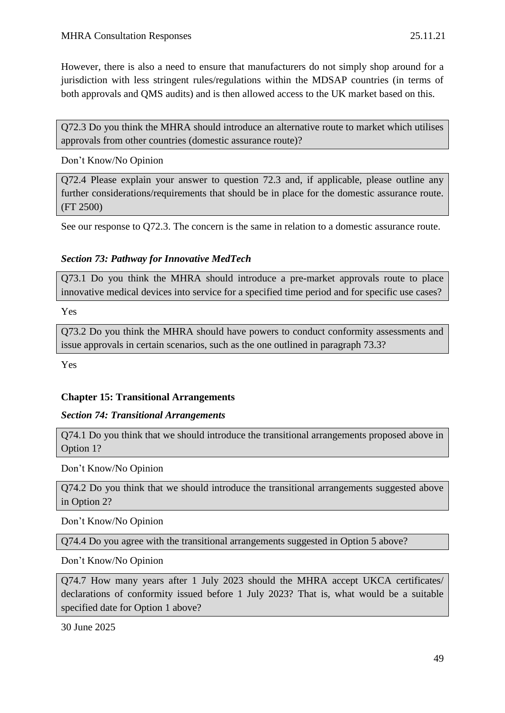However, there is also a need to ensure that manufacturers do not simply shop around for a jurisdiction with less stringent rules/regulations within the MDSAP countries (in terms of both approvals and QMS audits) and is then allowed access to the UK market based on this.

Q72.3 Do you think the MHRA should introduce an alternative route to market which utilises approvals from other countries (domestic assurance route)?

Don't Know/No Opinion

Q72.4 Please explain your answer to question 72.3 and, if applicable, please outline any further considerations/requirements that should be in place for the domestic assurance route. (FT 2500)

See our response to Q72.3. The concern is the same in relation to a domestic assurance route.

## *Section 73: Pathway for Innovative MedTech*

Q73.1 Do you think the MHRA should introduce a pre-market approvals route to place innovative medical devices into service for a specified time period and for specific use cases?

Yes

Q73.2 Do you think the MHRA should have powers to conduct conformity assessments and issue approvals in certain scenarios, such as the one outlined in paragraph 73.3?

Yes

## **Chapter 15: Transitional Arrangements**

#### *Section 74: Transitional Arrangements*

Q74.1 Do you think that we should introduce the transitional arrangements proposed above in Option 1?

Don't Know/No Opinion

Q74.2 Do you think that we should introduce the transitional arrangements suggested above in Option 2?

Don't Know/No Opinion

Q74.4 Do you agree with the transitional arrangements suggested in Option 5 above?

Don't Know/No Opinion

Q74.7 How many years after 1 July 2023 should the MHRA accept UKCA certificates/ declarations of conformity issued before 1 July 2023? That is, what would be a suitable specified date for Option 1 above?

30 June 2025